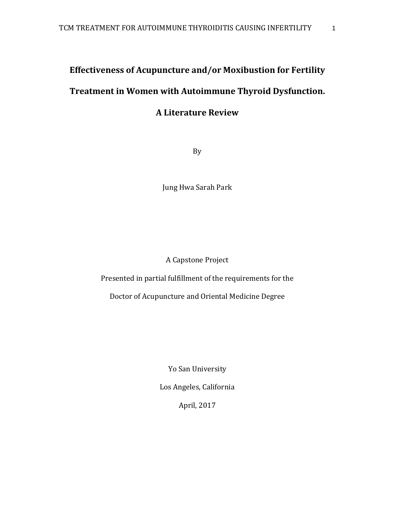# **Effectiveness of Acupuncture and/or Moxibustion for Fertility**

# **Treatment in Women with Autoimmune Thyroid Dysfunction.**

# **A Literature Review**

By

Jung Hwa Sarah Park

A Capstone Project

Presented in partial fulfillment of the requirements for the

Doctor of Acupuncture and Oriental Medicine Degree

Yo San University

Los Angeles, California

April, 2017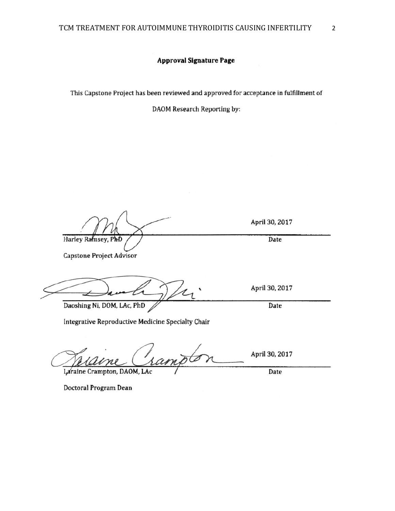#### **Approval Signature Page**

This Capstone Project has been reviewed and approved for acceptance in fulfillment of

DAOM Research Reporting by:

April 30, 2017 Harley Ramsey, PhD Date **Capstone Project Advisor** April 30, 2017 Daoshing Ni, DOM, LAc, PhD Date Integrative Reproductive Medicine Specialty Chair April 30, 2017

Laraine Crampton, DAOM, LAc Date

Doctoral Program Dean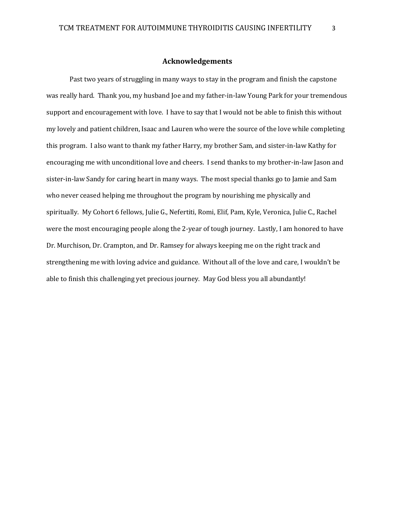### **Acknowledgements**

Past two years of struggling in many ways to stay in the program and finish the capstone was really hard. Thank you, my husband Joe and my father-in-law Young Park for your tremendous support and encouragement with love. I have to say that I would not be able to finish this without my lovely and patient children, Isaac and Lauren who were the source of the love while completing this program. I also want to thank my father Harry, my brother Sam, and sister-in-law Kathy for encouraging me with unconditional love and cheers. I send thanks to my brother-in-law Jason and sister-in-law Sandy for caring heart in many ways. The most special thanks go to Jamie and Sam who never ceased helping me throughout the program by nourishing me physically and spiritually. My Cohort 6 fellows, Julie G., Nefertiti, Romi, Elif, Pam, Kyle, Veronica, Julie C., Rachel were the most encouraging people along the 2-year of tough journey. Lastly, I am honored to have Dr. Murchison, Dr. Crampton, and Dr. Ramsey for always keeping me on the right track and strengthening me with loving advice and guidance. Without all of the love and care, I wouldn't be able to finish this challenging yet precious journey. May God bless you all abundantly!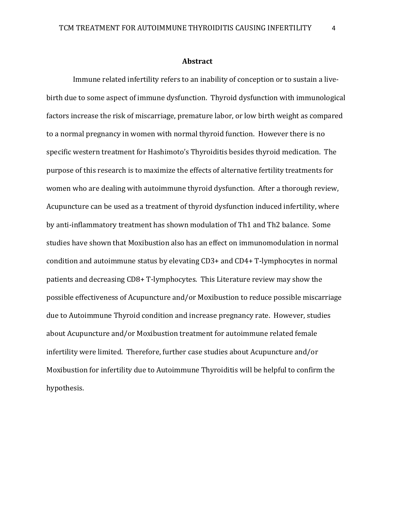#### **Abstract**

 Immune related infertility refers to an inability of conception or to sustain a livebirth due to some aspect of immune dysfunction. Thyroid dysfunction with immunological factors increase the risk of miscarriage, premature labor, or low birth weight as compared to a normal pregnancy in women with normal thyroid function. However there is no specific western treatment for Hashimoto's Thyroiditis besides thyroid medication. The purpose of this research is to maximize the effects of alternative fertility treatments for women who are dealing with autoimmune thyroid dysfunction. After a thorough review, Acupuncture can be used as a treatment of thyroid dysfunction induced infertility, where by anti-inflammatory treatment has shown modulation of Th1 and Th2 balance. Some studies have shown that Moxibustion also has an effect on immunomodulation in normal condition and autoimmune status by elevating CD3+ and CD4+ T-lymphocytes in normal patients and decreasing CD8+ T-lymphocytes. This Literature review may show the possible effectiveness of Acupuncture and/or Moxibustion to reduce possible miscarriage due to Autoimmune Thyroid condition and increase pregnancy rate. However, studies about Acupuncture and/or Moxibustion treatment for autoimmune related female infertility were limited. Therefore, further case studies about Acupuncture and/or Moxibustion for infertility due to Autoimmune Thyroiditis will be helpful to confirm the hypothesis.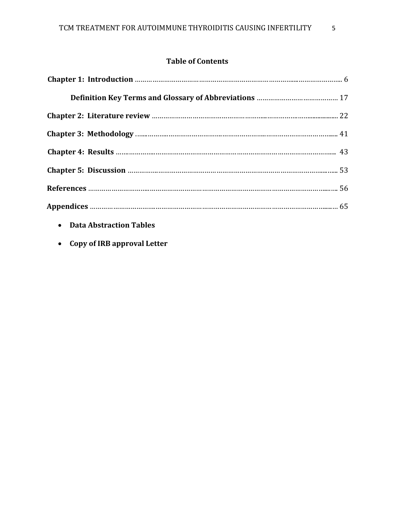## **Table of Contents**

- **Data Abstraction Tables**
- **Copy of IRB approval Letter**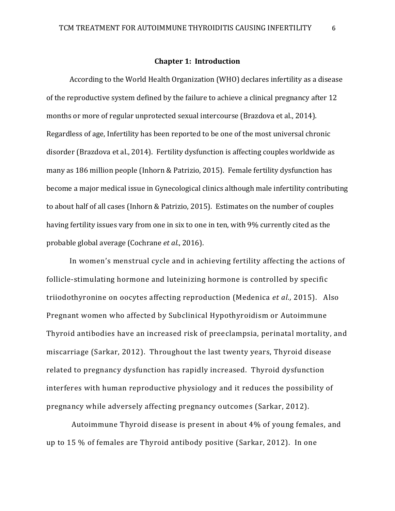#### **Chapter 1: Introduction**

According to the World Health Organization (WHO) declares infertility as a disease of the reproductive system defined by the failure to achieve a clinical pregnancy after 12 months or more of regular unprotected sexual intercourse (Brazdova et al., 2014). Regardless of age, Infertility has been reported to be one of the most universal chronic disorder (Brazdova et al., 2014). Fertility dysfunction is affecting couples worldwide as many as 186 million people (Inhorn & Patrizio, 2015). Female fertility dysfunction has become a major medical issue in Gynecological clinics although male infertility contributing to about half of all cases (Inhorn & Patrizio, 2015). Estimates on the number of couples having fertility issues vary from one in six to one in ten, with 9% currently cited as the probable global average (Cochrane *et al*., 2016).

In women's menstrual cycle and in achieving fertility affecting the actions of follicle-stimulating hormone and luteinizing hormone is controlled by specific triiodothyronine on oocytes affecting reproduction (Medenica *et al.,* 2015). Also Pregnant women who affected by Subclinical Hypothyroidism or Autoimmune Thyroid antibodies have an increased risk of preeclampsia, perinatal mortality, and miscarriage (Sarkar, 2012). Throughout the last twenty years, Thyroid disease related to pregnancy dysfunction has rapidly increased. Thyroid dysfunction interferes with human reproductive physiology and it reduces the possibility of pregnancy while adversely affecting pregnancy outcomes (Sarkar, 2012).

Autoimmune Thyroid disease is present in about 4% of young females, and up to 15 % of females are Thyroid antibody positive (Sarkar, 2012). In one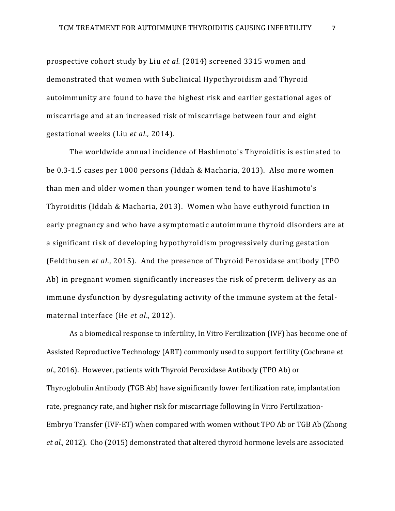prospective cohort study by Liu *et al.* (2014) screened 3315 women and demonstrated that women with Subclinical Hypothyroidism and Thyroid autoimmunity are found to have the highest risk and earlier gestational ages of miscarriage and at an increased risk of miscarriage between four and eight gestational weeks (Liu *et al.,* 2014).

The worldwide annual incidence of Hashimoto's Thyroiditis is estimated to be 0.3-1.5 cases per 1000 persons (Iddah & Macharia, 2013). Also more women than men and older women than younger women tend to have Hashimoto's Thyroiditis (Iddah & Macharia, 2013). Women who have euthyroid function in early pregnancy and who have asymptomatic autoimmune thyroid disorders are at a significant risk of developing hypothyroidism progressively during gestation (Feldthusen *et al*., 2015). And the presence of Thyroid Peroxidase antibody (TPO Ab) in pregnant women significantly increases the risk of preterm delivery as an immune dysfunction by dysregulating activity of the immune system at the fetalmaternal interface (He *et al*., 2012).

As a biomedical response to infertility, In Vitro Fertilization (IVF) has become one of Assisted Reproductive Technology (ART) commonly used to support fertility (Cochrane *et al*., 2016). However, patients with Thyroid Peroxidase Antibody (TPO Ab) or Thyroglobulin Antibody (TGB Ab) have significantly lower fertilization rate, implantation rate, pregnancy rate, and higher risk for miscarriage following In Vitro Fertilization-Embryo Transfer (IVF-ET) when compared with women without TPO Ab or TGB Ab (Zhong *et al*., 2012). Cho (2015) demonstrated that altered thyroid hormone levels are associated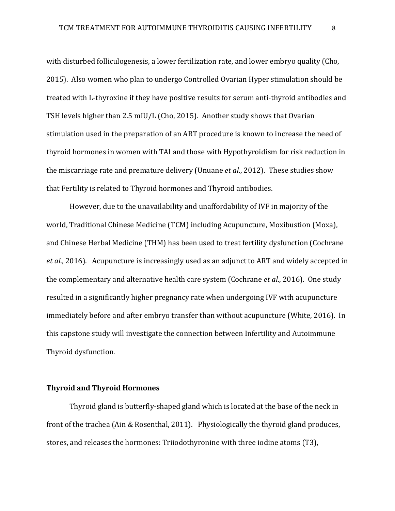with disturbed folliculogenesis, a lower fertilization rate, and lower embryo quality (Cho, 2015). Also women who plan to undergo Controlled Ovarian Hyper stimulation should be treated with L-thyroxine if they have positive results for serum anti-thyroid antibodies and TSH levels higher than 2.5 mIU/L (Cho, 2015). Another study shows that Ovarian stimulation used in the preparation of an ART procedure is known to increase the need of thyroid hormones in women with TAI and those with Hypothyroidism for risk reduction in the miscarriage rate and premature delivery (Unuane *et al*., 2012). These studies show that Fertility is related to Thyroid hormones and Thyroid antibodies.

However, due to the unavailability and unaffordability of IVF in majority of the world, Traditional Chinese Medicine (TCM) including Acupuncture, Moxibustion (Moxa), and Chinese Herbal Medicine (THM) has been used to treat fertility dysfunction (Cochrane *et al*., 2016). Acupuncture is increasingly used as an adjunct to ART and widely accepted in the complementary and alternative health care system (Cochrane *et al*., 2016). One study resulted in a significantly higher pregnancy rate when undergoing IVF with acupuncture immediately before and after embryo transfer than without acupuncture (White, 2016). In this capstone study will investigate the connection between Infertility and Autoimmune Thyroid dysfunction.

## **Thyroid and Thyroid Hormones**

 Thyroid gland is butterfly-shaped gland which is located at the base of the neck in front of the trachea (Ain & Rosenthal, 2011). Physiologically the thyroid gland produces, stores, and releases the hormones: Triiodothyronine with three iodine atoms (T3),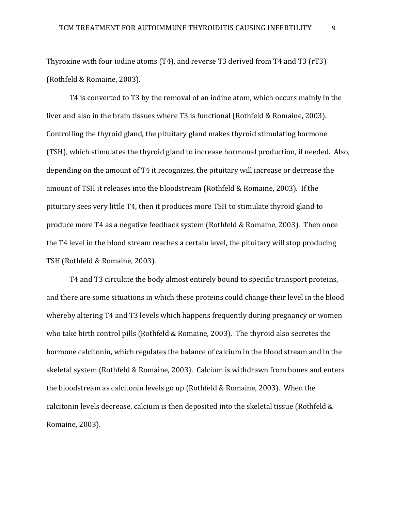Thyroxine with four iodine atoms (T4), and reverse T3 derived from T4 and T3 (rT3) (Rothfeld & Romaine, 2003).

T4 is converted to T3 by the removal of an iodine atom, which occurs mainly in the liver and also in the brain tissues where T3 is functional (Rothfeld & Romaine, 2003). Controlling the thyroid gland, the pituitary gland makes thyroid stimulating hormone (TSH), which stimulates the thyroid gland to increase hormonal production, if needed. Also, depending on the amount of T4 it recognizes, the pituitary will increase or decrease the amount of TSH it releases into the bloodstream (Rothfeld & Romaine, 2003). If the pituitary sees very little T4, then it produces more TSH to stimulate thyroid gland to produce more T4 as a negative feedback system (Rothfeld & Romaine, 2003). Then once the T4 level in the blood stream reaches a certain level, the pituitary will stop producing TSH (Rothfeld & Romaine, 2003).

T4 and T3 circulate the body almost entirely bound to specific transport proteins, and there are some situations in which these proteins could change their level in the blood whereby altering T4 and T3 levels which happens frequently during pregnancy or women who take birth control pills (Rothfeld & Romaine, 2003). The thyroid also secretes the hormone calcitonin, which regulates the balance of calcium in the blood stream and in the skeletal system (Rothfeld & Romaine, 2003). Calcium is withdrawn from bones and enters the bloodstream as calcitonin levels go up (Rothfeld & Romaine, 2003). When the calcitonin levels decrease, calcium is then deposited into the skeletal tissue (Rothfeld & Romaine, 2003).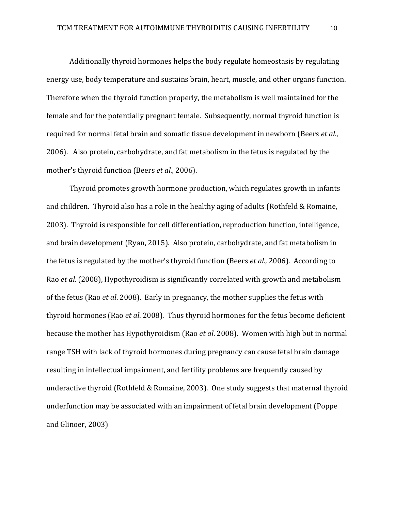Additionally thyroid hormones helps the body regulate homeostasis by regulating energy use, body temperature and sustains brain, heart, muscle, and other organs function. Therefore when the thyroid function properly, the metabolism is well maintained for the female and for the potentially pregnant female. Subsequently, normal thyroid function is required for normal fetal brain and somatic tissue development in newborn (Beers *et al.*, 2006). Also protein, carbohydrate, and fat metabolism in the fetus is regulated by the mother's thyroid function (Beers *et al.,* 2006).

Thyroid promotes growth hormone production, which regulates growth in infants and children. Thyroid also has a role in the healthy aging of adults (Rothfeld & Romaine, 2003). Thyroid is responsible for cell differentiation, reproduction function, intelligence, and brain development (Ryan, 2015). Also protein, carbohydrate, and fat metabolism in the fetus is regulated by the mother's thyroid function (Beers *et al.,* 2006). According to Rao *et al*. (2008), Hypothyroidism is significantly correlated with growth and metabolism of the fetus (Rao *et al*. 2008). Early in pregnancy, the mother supplies the fetus with thyroid hormones (Rao *et al*. 2008). Thus thyroid hormones for the fetus become deficient because the mother has Hypothyroidism (Rao *et al*. 2008). Women with high but in normal range TSH with lack of thyroid hormones during pregnancy can cause fetal brain damage resulting in intellectual impairment, and fertility problems are frequently caused by underactive thyroid (Rothfeld & Romaine, 2003). One study suggests that maternal thyroid underfunction may be associated with an impairment of fetal brain development (Poppe and Glinoer, 2003)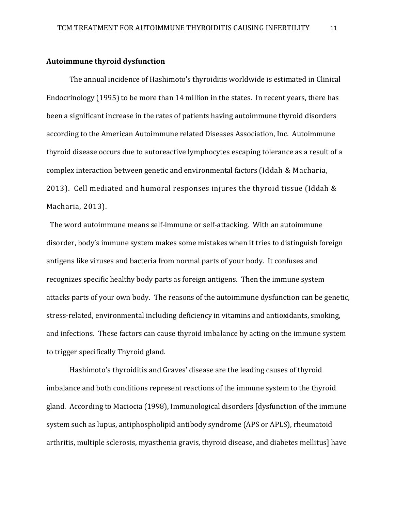#### **Autoimmune thyroid dysfunction**

The annual incidence of Hashimoto's thyroiditis worldwide is estimated in Clinical Endocrinology (1995) to be more than 14 million in the states. In recent years, there has been a significant increase in the rates of patients having autoimmune thyroid disorders according to the American Autoimmune related Diseases Association, Inc. Autoimmune thyroid disease occurs due to autoreactive lymphocytes escaping tolerance as a result of a complex interaction between genetic and environmental factors (Iddah & Macharia, 2013). Cell mediated and humoral responses injures the thyroid tissue (Iddah & Macharia, 2013).

The word autoimmune means self-immune or self-attacking. With an autoimmune disorder, body's immune system makes some mistakes when it tries to distinguish foreign antigens like viruses and bacteria from normal parts of your body. It confuses and recognizes specific healthy body parts as foreign antigens. Then the immune system attacks parts of your own body. The reasons of the autoimmune dysfunction can be genetic, stress-related, environmental including deficiency in vitamins and antioxidants, smoking, and infections. These factors can cause thyroid imbalance by acting on the immune system to trigger specifically Thyroid gland.

Hashimoto's thyroiditis and Graves' disease are the leading causes of thyroid imbalance and both conditions represent reactions of the immune system to the thyroid gland. According to Maciocia (1998), Immunological disorders [dysfunction of the immune system such as lupus, antiphospholipid antibody syndrome (APS or APLS), rheumatoid arthritis, multiple sclerosis, myasthenia gravis, thyroid disease, and diabetes mellitus] have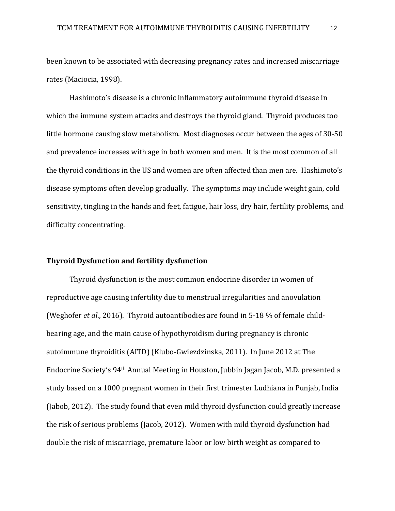been known to be associated with decreasing pregnancy rates and increased miscarriage rates (Maciocia, 1998).

Hashimoto's disease is a chronic inflammatory autoimmune thyroid disease in which the immune system attacks and destroys the thyroid gland. Thyroid produces too little hormone causing slow metabolism. Most diagnoses occur between the ages of 30-50 and prevalence increases with age in both women and men. It is the most common of all the thyroid conditions in the US and women are often affected than men are. Hashimoto's disease symptoms often develop gradually. The symptoms may include weight gain, cold sensitivity, tingling in the hands and feet, fatigue, hair loss, dry hair, fertility problems, and difficulty concentrating.

## **Thyroid Dysfunction and fertility dysfunction**

Thyroid dysfunction is the most common endocrine disorder in women of reproductive age causing infertility due to menstrual irregularities and anovulation (Weghofer *et al*., 2016). Thyroid autoantibodies are found in 5-18 % of female childbearing age, and the main cause of hypothyroidism during pregnancy is chronic autoimmune thyroiditis (AITD) (Klubo-Gwiezdzinska, 2011). In June 2012 at The Endocrine Society's 94th Annual Meeting in Houston, Jubbin Jagan Jacob, M.D. presented a study based on a 1000 pregnant women in their first trimester Ludhiana in Punjab, India (Jabob, 2012). The study found that even mild thyroid dysfunction could greatly increase the risk of serious problems (Jacob, 2012). Women with mild thyroid dysfunction had double the risk of miscarriage, premature labor or low birth weight as compared to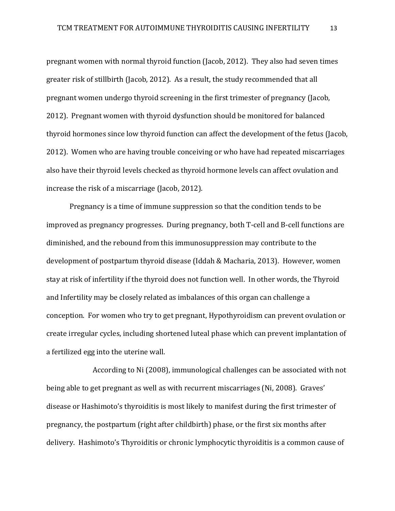pregnant women with normal thyroid function (Jacob, 2012). They also had seven times greater risk of stillbirth (Jacob, 2012). As a result, the study recommended that all pregnant women undergo thyroid screening in the first trimester of pregnancy (Jacob, 2012). Pregnant women with thyroid dysfunction should be monitored for balanced thyroid hormones since low thyroid function can affect the development of the fetus (Jacob, 2012). Women who are having trouble conceiving or who have had repeated miscarriages also have their thyroid levels checked as thyroid hormone levels can affect ovulation and increase the risk of a miscarriage (Jacob, 2012).

Pregnancy is a time of immune suppression so that the condition tends to be improved as pregnancy progresses. During pregnancy, both T-cell and B-cell functions are diminished, and the rebound from this immunosuppression may contribute to the development of postpartum thyroid disease (Iddah & Macharia, 2013). However, women stay at risk of infertility if the thyroid does not function well. In other words, the Thyroid and Infertility may be closely related as imbalances of this organ can challenge a conception. For women who try to get pregnant, Hypothyroidism can prevent ovulation or create irregular cycles, including shortened luteal phase which can prevent implantation of a fertilized egg into the uterine wall.

According to Ni (2008), immunological challenges can be associated with not being able to get pregnant as well as with recurrent miscarriages (Ni, 2008). Graves' disease or Hashimoto's thyroiditis is most likely to manifest during the first trimester of pregnancy, the postpartum (right after childbirth) phase, or the first six months after delivery. Hashimoto's Thyroiditis or chronic lymphocytic thyroiditis is a common cause of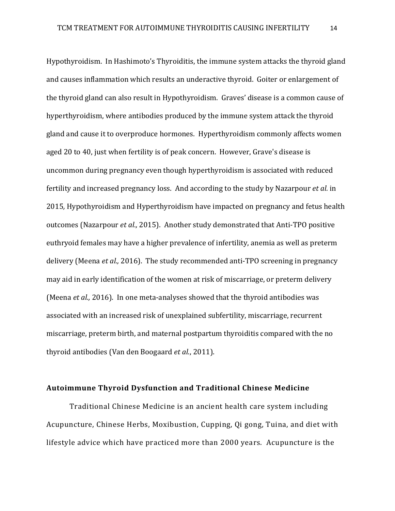Hypothyroidism. In Hashimoto's Thyroiditis, the immune system attacks the thyroid gland and causes inflammation which results an underactive thyroid. Goiter or enlargement of the thyroid gland can also result in Hypothyroidism. Graves' disease is a common cause of hyperthyroidism, where antibodies produced by the immune system attack the thyroid gland and cause it to overproduce hormones. Hyperthyroidism commonly affects women aged 20 to 40, just when fertility is of peak concern. However, Grave's disease is uncommon during pregnancy even though hyperthyroidism is associated with reduced fertility and increased pregnancy loss. And according to the study by Nazarpour *et al.* in 2015*,* Hypothyroidism and Hyperthyroidism have impacted on pregnancy and fetus health outcomes (Nazarpour *et al.,* 2015). Another study demonstrated that Anti-TPO positive euthryoid females may have a higher prevalence of infertility, anemia as well as preterm delivery (Meena *et al.,* 2016). The study recommended anti-TPO screening in pregnancy may aid in early identification of the women at risk of miscarriage, or preterm delivery (Meena *et al.,* 2016). In one meta-analyses showed that the thyroid antibodies was associated with an increased risk of unexplained subfertility, miscarriage, recurrent miscarriage, preterm birth, and maternal postpartum thyroiditis compared with the no thyroid antibodies (Van den Boogaard *et al.*, 2011).

## **Autoimmune Thyroid Dysfunction and Traditional Chinese Medicine**

Traditional Chinese Medicine is an ancient health care system including Acupuncture, Chinese Herbs, Moxibustion, Cupping, Qi gong, Tuina, and diet with lifestyle advice which have practiced more than 2000 years. Acupuncture is the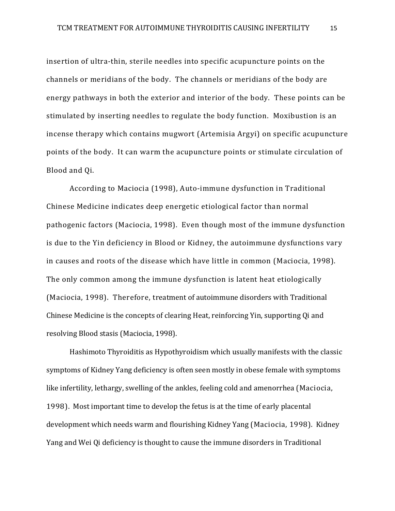insertion of ultra-thin, sterile needles into specific acupuncture points on the channels or meridians of the body. The channels or meridians of the body are energy pathways in both the exterior and interior of the body. These points can be stimulated by inserting needles to regulate the body function. Moxibustion is an incense therapy which contains mugwort (Artemisia Argyi) on specific acupuncture points of the body. It can warm the acupuncture points or stimulate circulation of Blood and Qi.

According to Maciocia (1998), Auto-immune dysfunction in Traditional Chinese Medicine indicates deep energetic etiological factor than normal pathogenic factors (Maciocia, 1998). Even though most of the immune dysfunction is due to the Yin deficiency in Blood or Kidney, the autoimmune dysfunctions vary in causes and roots of the disease which have little in common (Maciocia, 1998). The only common among the immune dysfunction is latent heat etiologically (Maciocia, 1998). Therefore, treatment of autoimmune disorders with Traditional Chinese Medicine is the concepts of clearing Heat, reinforcing Yin, supporting Qi and resolving Blood stasis (Maciocia, 1998).

Hashimoto Thyroiditis as Hypothyroidism which usually manifests with the classic symptoms of Kidney Yang deficiency is often seen mostly in obese female with symptoms like infertility, lethargy, swelling of the ankles, feeling cold and amenorrhea (Maciocia, 1998). Most important time to develop the fetus is at the time of early placental development which needs warm and flourishing Kidney Yang (Maciocia, 1998). Kidney Yang and Wei Qi deficiency is thought to cause the immune disorders in Traditional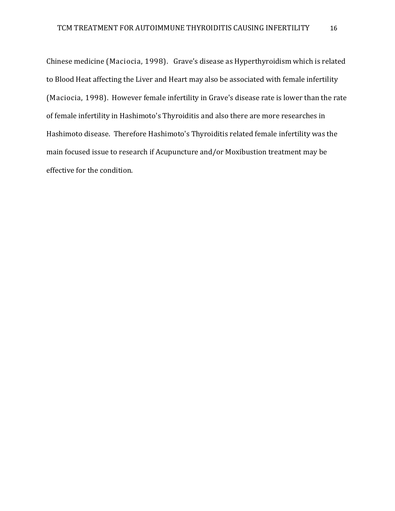Chinese medicine (Maciocia, 1998). Grave's disease as Hyperthyroidism which is related to Blood Heat affecting the Liver and Heart may also be associated with female infertility (Maciocia, 1998). However female infertility in Grave's disease rate is lower than the rate of female infertility in Hashimoto's Thyroiditis and also there are more researches in Hashimoto disease. Therefore Hashimoto's Thyroiditis related female infertility was the main focused issue to research if Acupuncture and/or Moxibustion treatment may be effective for the condition.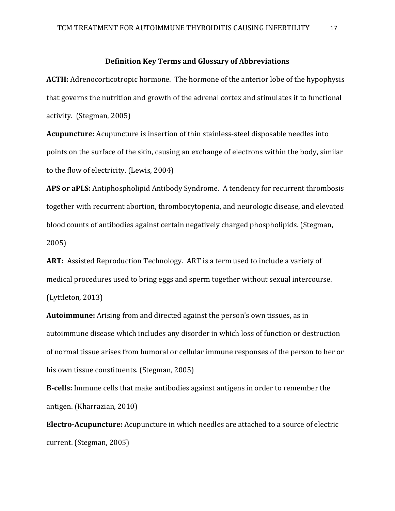## **Definition Key Terms and Glossary of Abbreviations**

**ACTH:** Adrenocorticotropic hormone. The hormone of the anterior lobe of the hypophysis that governs the nutrition and growth of the adrenal cortex and stimulates it to functional activity. (Stegman, 2005)

**Acupuncture:** Acupuncture is insertion of thin stainless-steel disposable needles into points on the surface of the skin, causing an exchange of electrons within the body, similar to the flow of electricity. (Lewis, 2004)

**APS or aPLS:** Antiphospholipid Antibody Syndrome. A tendency for recurrent thrombosis together with recurrent abortion, thrombocytopenia, and neurologic disease, and elevated blood counts of antibodies against certain negatively charged phospholipids. (Stegman, 2005)

**ART:** Assisted Reproduction Technology. ART is a term used to include a variety of medical procedures used to bring eggs and sperm together without sexual intercourse. (Lyttleton, 2013)

**Autoimmune:** Arising from and directed against the person's own tissues, as in autoimmune disease which includes any disorder in which loss of function or destruction of normal tissue arises from humoral or cellular immune responses of the person to her or his own tissue constituents. (Stegman, 2005)

**B-cells:** Immune cells that make antibodies against antigens in order to remember the antigen. (Kharrazian, 2010)

**Electro-Acupuncture:** Acupuncture in which needles are attached to a source of electric current. (Stegman, 2005)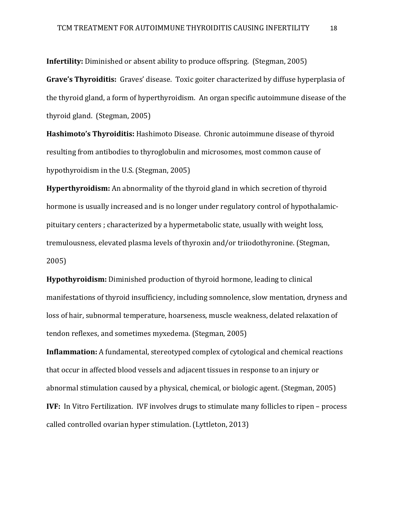**Infertility:** Diminished or absent ability to produce offspring. (Stegman, 2005)

**Grave's Thyroiditis:** Graves' disease. Toxic goiter characterized by diffuse hyperplasia of the thyroid gland, a form of hyperthyroidism. An organ specific autoimmune disease of the thyroid gland. (Stegman, 2005)

**Hashimoto's Thyroiditis:** Hashimoto Disease. Chronic autoimmune disease of thyroid resulting from antibodies to thyroglobulin and microsomes, most common cause of hypothyroidism in the U.S. (Stegman, 2005)

**Hyperthyroidism:** An abnormality of the thyroid gland in which secretion of thyroid hormone is usually increased and is no longer under regulatory control of hypothalamicpituitary centers ; characterized by a hypermetabolic state, usually with weight loss, tremulousness, elevated plasma levels of thyroxin and/or triiodothyronine. (Stegman, 2005)

**Hypothyroidism:** Diminished production of thyroid hormone, leading to clinical manifestations of thyroid insufficiency, including somnolence, slow mentation, dryness and loss of hair, subnormal temperature, hoarseness, muscle weakness, delated relaxation of tendon reflexes, and sometimes myxedema. (Stegman, 2005)

**Inflammation:** A fundamental, stereotyped complex of cytological and chemical reactions that occur in affected blood vessels and adjacent tissues in response to an injury or abnormal stimulation caused by a physical, chemical, or biologic agent. (Stegman, 2005) **IVF:** In Vitro Fertilization. IVF involves drugs to stimulate many follicles to ripen – process called controlled ovarian hyper stimulation. (Lyttleton, 2013)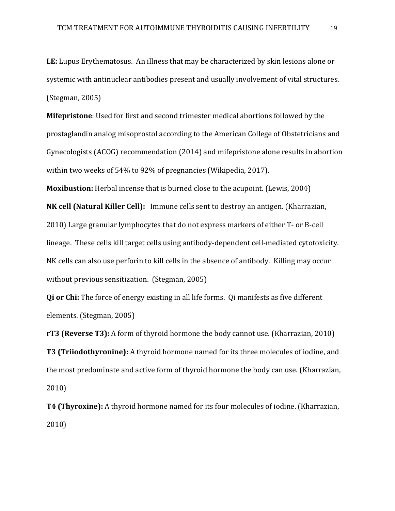**LE:** Lupus Erythematosus. An illness that may be characterized by skin lesions alone or systemic with antinuclear antibodies present and usually involvement of vital structures. (Stegman, 2005)

**Mifepristone**: Used for first and second trimester medical abortions followed by the prostaglandin analog misoprostol according to the American College of Obstetricians and Gynecologists (ACOG) recommendation (2014) and mifepristone alone results in abortion within two weeks of 54% to 92% of pregnancies (Wikipedia, 2017).

**Moxibustion:** Herbal incense that is burned close to the acupoint. (Lewis, 2004)

**NK cell (Natural Killer Cell):** Immune cells sent to destroy an antigen. (Kharrazian, 2010) Large granular lymphocytes that do not express markers of either T- or B-cell lineage. These cells kill target cells using antibody-dependent cell-mediated cytotoxicity. NK cells can also use perforin to kill cells in the absence of antibody. Killing may occur without previous sensitization. (Stegman, 2005)

**Qi or Chi:** The force of energy existing in all life forms. Qi manifests as five different elements. (Stegman, 2005)

**rT3 (Reverse T3):** A form of thyroid hormone the body cannot use. (Kharrazian, 2010) **T3 (Triiodothyronine):** A thyroid hormone named for its three molecules of iodine, and the most predominate and active form of thyroid hormone the body can use. (Kharrazian, 2010)

**T4 (Thyroxine):** A thyroid hormone named for its four molecules of iodine. (Kharrazian, 2010)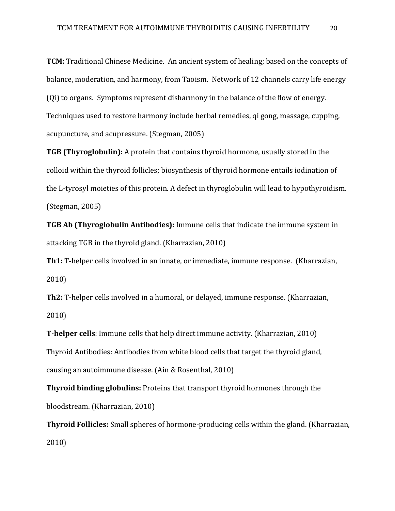**TCM:** Traditional Chinese Medicine. An ancient system of healing; based on the concepts of balance, moderation, and harmony, from Taoism. Network of 12 channels carry life energy (Qi) to organs. Symptoms represent disharmony in the balance of the flow of energy. Techniques used to restore harmony include herbal remedies, qi gong, massage, cupping, acupuncture, and acupressure. (Stegman, 2005)

**TGB (Thyroglobulin):** A protein that contains thyroid hormone, usually stored in the colloid within the thyroid follicles; biosynthesis of thyroid hormone entails iodination of the L-tyrosyl moieties of this protein. A defect in thyroglobulin will lead to hypothyroidism. (Stegman, 2005)

**TGB Ab (Thyroglobulin Antibodies):** Immune cells that indicate the immune system in attacking TGB in the thyroid gland. (Kharrazian, 2010)

**Th1:** T-helper cells involved in an innate, or immediate, immune response. (Kharrazian, 2010)

**Th2:** T-helper cells involved in a humoral, or delayed, immune response. (Kharrazian, 2010)

**T-helper cells**: Immune cells that help direct immune activity. (Kharrazian, 2010) Thyroid Antibodies: Antibodies from white blood cells that target the thyroid gland, causing an autoimmune disease. (Ain & Rosenthal, 2010)

**Thyroid binding globulins:** Proteins that transport thyroid hormones through the bloodstream. (Kharrazian, 2010)

**Thyroid Follicles:** Small spheres of hormone-producing cells within the gland. (Kharrazian, 2010)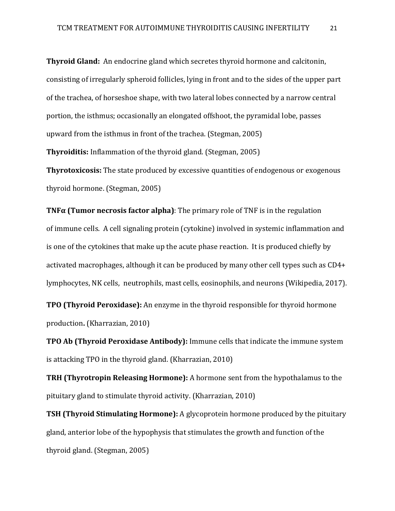**Thyroid Gland:** An endocrine gland which secretes thyroid hormone and calcitonin, consisting of irregularly spheroid follicles, lying in front and to the sides of the upper part of the trachea, of horseshoe shape, with two lateral lobes connected by a narrow central portion, the isthmus; occasionally an elongated offshoot, the pyramidal lobe, passes upward from the isthmus in front of the trachea. (Stegman, 2005)

**Thyroiditis:** Inflammation of the thyroid gland. (Stegman, 2005)

**Thyrotoxicosis:** The state produced by excessive quantities of endogenous or exogenous thyroid hormone. (Stegman, 2005)

**TNFα (Tumor necrosis factor alpha)**: The primary role of TNF is in the regulation of [immune cells.](https://en.wikipedia.org/wiki/Immune_cells) A cell signaling protein [\(cytokine\)](https://en.wikipedia.org/wiki/Cytokine) involved in systemic [inflammation](https://en.wikipedia.org/wiki/Inflammation) and is one of the cytokines that make up the [acute phase reaction.](https://en.wikipedia.org/wiki/Acute_phase_reaction) It is produced chiefly by activated [macrophages,](https://en.wikipedia.org/wiki/Macrophages) although it can be produced by many other cell types such as [CD4+](https://en.wikipedia.org/wiki/CD4%2B_lymphocytes)  [lymphocytes,](https://en.wikipedia.org/wiki/CD4%2B_lymphocytes) [NK cells,](https://en.wikipedia.org/wiki/NK_cells) [neutrophils,](https://en.wikipedia.org/wiki/Neutrophils) mast cells[, eosinophils,](https://en.wikipedia.org/wiki/Eosinophils) and [neurons](https://en.wikipedia.org/wiki/Neurons) (Wikipedia, 2017).

**TPO (Thyroid Peroxidase):** An enzyme in the thyroid responsible for thyroid hormone production**.** (Kharrazian, 2010)

**TPO Ab (Thyroid Peroxidase Antibody):** Immune cells that indicate the immune system is attacking TPO in the thyroid gland. (Kharrazian, 2010)

**TRH (Thyrotropin Releasing Hormone):** A hormone sent from the hypothalamus to the pituitary gland to stimulate thyroid activity. (Kharrazian, 2010)

**TSH (Thyroid Stimulating Hormone):** A glycoprotein hormone produced by the pituitary gland, anterior lobe of the hypophysis that stimulates the growth and function of the thyroid gland. (Stegman, 2005)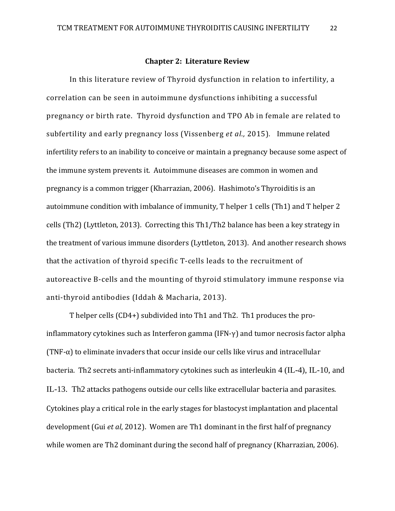#### **Chapter 2: Literature Review**

In this literature review of Thyroid dysfunction in relation to infertility, a correlation can be seen in autoimmune dysfunctions inhibiting a successful pregnancy or birth rate. Thyroid dysfunction and TPO Ab in female are related to subfertility and early pregnancy loss (Vissenberg *et al.,* 2015)*.* Immune related infertility refers to an inability to conceive or maintain a pregnancy because some aspect of the immune system prevents it. Autoimmune diseases are common in women and pregnancy is a common trigger (Kharrazian, 2006). Hashimoto's Thyroiditis is an autoimmune condition with imbalance of immunity, T helper 1 cells (Th1) and T helper 2 cells (Th2) (Lyttleton, 2013). Correcting this Th1/Th2 balance has been a key strategy in the treatment of various immune disorders (Lyttleton, 2013). And another research shows that the activation of thyroid specific T-cells leads to the recruitment of autoreactive B-cells and the mounting of thyroid stimulatory immune response via anti-thyroid antibodies (Iddah & Macharia, 2013).

T helper cells (CD4+) subdivided into Th1 and Th2. Th1 produces the proinflammatory cytokines such as Interferon gamma (IFN- $\gamma$ ) and tumor necrosis factor alpha  $(TNF-\alpha)$  to eliminate invaders that occur inside our cells like virus and intracellular bacteria. Th2 secrets anti-inflammatory cytokines such as interleukin 4 (IL-4), IL-10, and IL-13. Th2 attacks pathogens outside our cells like extracellular bacteria and parasites. Cytokines play a critical role in the early stages for blastocyst implantation and placental development (Gui *et al*, 2012). Women are Th1 dominant in the first half of pregnancy while women are Th2 dominant during the second half of pregnancy (Kharrazian, 2006).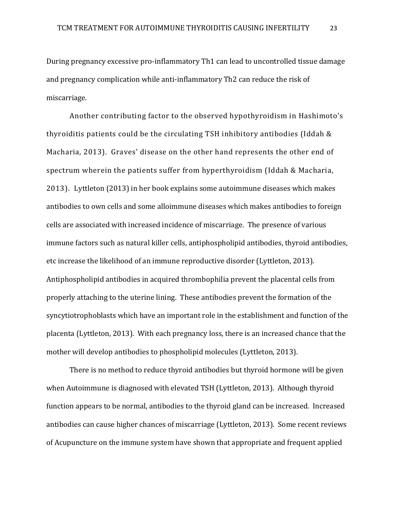During pregnancy excessive pro-inflammatory Th1 can lead to uncontrolled tissue damage and pregnancy complication while anti-inflammatory Th2 can reduce the risk of miscarriage.

Another contributing factor to the observed hypothyroidism in Hashimoto's thyroiditis patients could be the circulating TSH inhibitory antibodies (Iddah & Macharia, 2013). Graves' disease on the other hand represents the other end of spectrum wherein the patients suffer from hyperthyroidism (Iddah & Macharia, 2013). Lyttleton (2013) in her book explains some autoimmune diseases which makes antibodies to own cells and some alloimmune diseases which makes antibodies to foreign cells are associated with increased incidence of miscarriage. The presence of various immune factors such as natural killer cells, antiphospholipid antibodies, thyroid antibodies, etc increase the likelihood of an immune reproductive disorder (Lyttleton, 2013). Antiphospholipid antibodies in acquired thrombophilia prevent the placental cells from properly attaching to the uterine lining. These antibodies prevent the formation of the syncytiotrophoblasts which have an important role in the establishment and function of the placenta (Lyttleton, 2013). With each pregnancy loss, there is an increased chance that the mother will develop antibodies to phospholipid molecules (Lyttleton, 2013).

There is no method to reduce thyroid antibodies but thyroid hormone will be given when Autoimmune is diagnosed with elevated TSH (Lyttleton, 2013). Although thyroid function appears to be normal, antibodies to the thyroid gland can be increased. Increased antibodies can cause higher chances of miscarriage (Lyttleton, 2013). Some recent reviews of Acupuncture on the immune system have shown that appropriate and frequent applied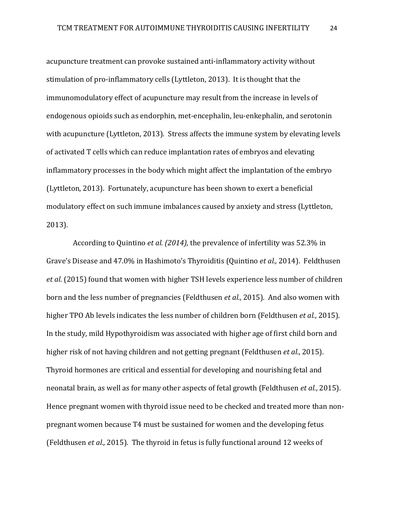acupuncture treatment can provoke sustained anti-inflammatory activity without stimulation of pro-inflammatory cells (Lyttleton, 2013). It is thought that the immunomodulatory effect of acupuncture may result from the increase in levels of endogenous opioids such as endorphin, met-encephalin, leu-enkephalin, and serotonin with acupuncture (Lyttleton, 2013). Stress affects the immune system by elevating levels of activated T cells which can reduce implantation rates of embryos and elevating inflammatory processes in the body which might affect the implantation of the embryo (Lyttleton, 2013). Fortunately, acupuncture has been shown to exert a beneficial modulatory effect on such immune imbalances caused by anxiety and stress (Lyttleton, 2013).

 According to Quintino *et al. (2014),* the prevalence of infertility was 52.3% in Grave's Disease and 47.0% in Hashimoto's Thyroiditis (Quintino *et al.,* 2014). Feldthusen *et al*. (2015) found that women with higher TSH levels experience less number of children born and the less number of pregnancies (Feldthusen *et al.*, 2015). And also women with higher TPO Ab levels indicates the less number of children born (Feldthusen *et al.*, 2015). In the study, mild Hypothyroidism was associated with higher age of first child born and higher risk of not having children and not getting pregnant (Feldthusen *et al.*, 2015). Thyroid hormones are critical and essential for developing and nourishing fetal and neonatal brain, as well as for many other aspects of fetal growth (Feldthusen *et al.*, 2015). Hence pregnant women with thyroid issue need to be checked and treated more than nonpregnant women because T4 must be sustained for women and the developing fetus (Feldthusen *et al.,* 2015). The thyroid in fetus is fully functional around 12 weeks of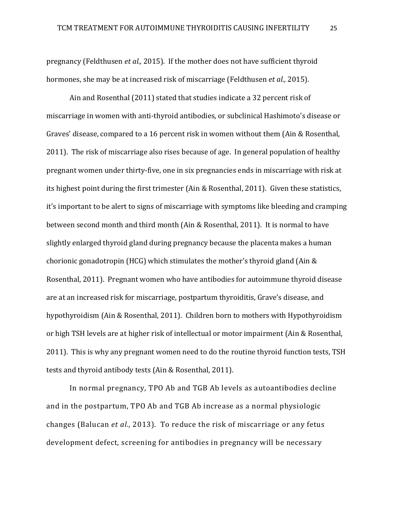pregnancy (Feldthusen *et al.,* 2015). If the mother does not have sufficient thyroid hormones, she may be at increased risk of miscarriage (Feldthusen *et al.,* 2015).

Ain and Rosenthal (2011) stated that studies indicate a 32 percent risk of miscarriage in women with anti-thyroid antibodies, or subclinical Hashimoto's disease or Graves' disease, compared to a 16 percent risk in women without them (Ain & Rosenthal, 2011). The risk of miscarriage also rises because of age. In general population of healthy pregnant women under thirty-five, one in six pregnancies ends in miscarriage with risk at its highest point during the first trimester (Ain & Rosenthal, 2011). Given these statistics, it's important to be alert to signs of miscarriage with symptoms like bleeding and cramping between second month and third month (Ain & Rosenthal, 2011). It is normal to have slightly enlarged thyroid gland during pregnancy because the placenta makes a human chorionic gonadotropin (HCG) which stimulates the mother's thyroid gland (Ain & Rosenthal, 2011). Pregnant women who have antibodies for autoimmune thyroid disease are at an increased risk for miscarriage, postpartum thyroiditis, Grave's disease, and hypothyroidism (Ain & Rosenthal, 2011). Children born to mothers with Hypothyroidism or high TSH levels are at higher risk of intellectual or motor impairment (Ain & Rosenthal, 2011). This is why any pregnant women need to do the routine thyroid function tests, TSH tests and thyroid antibody tests (Ain & Rosenthal, 2011).

In normal pregnancy, TPO Ab and TGB Ab levels as autoantibodies decline and in the postpartum, TPO Ab and TGB Ab increase as a normal physiologic changes (Balucan *et al.,* 2013). To reduce the risk of miscarriage or any fetus development defect, screening for antibodies in pregnancy will be necessary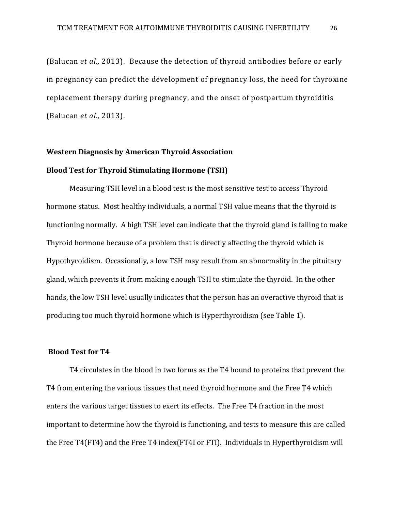(Balucan *et al.,* 2013). Because the detection of thyroid antibodies before or early in pregnancy can predict the development of pregnancy loss, the need for thyroxine replacement therapy during pregnancy, and the onset of postpartum thyroiditis (Balucan *et al.,* 2013).

# **Western Diagnosis by American Thyroid Association Blood Test for Thyroid Stimulating Hormone (TSH)**

Measuring TSH level in a blood test is the most sensitive test to access Thyroid hormone status. Most healthy individuals, a normal TSH value means that the thyroid is functioning normally. A high TSH level can indicate that the thyroid gland is failing to make Thyroid hormone because of a problem that is directly affecting the thyroid which is Hypothyroidism. Occasionally, a low TSH may result from an abnormality in the pituitary gland, which prevents it from making enough TSH to stimulate the thyroid. In the other hands, the low TSH level usually indicates that the person has an overactive thyroid that is producing too much thyroid hormone which is Hyperthyroidism (see Table 1).

## **Blood Test for T4**

T4 circulates in the blood in two forms as the T4 bound to proteins that prevent the T4 from entering the various tissues that need thyroid hormone and the Free T4 which enters the various target tissues to exert its effects. The Free T4 fraction in the most important to determine how the thyroid is functioning, and tests to measure this are called the Free T4(FT4) and the Free T4 index(FT4I or FTI). Individuals in Hyperthyroidism will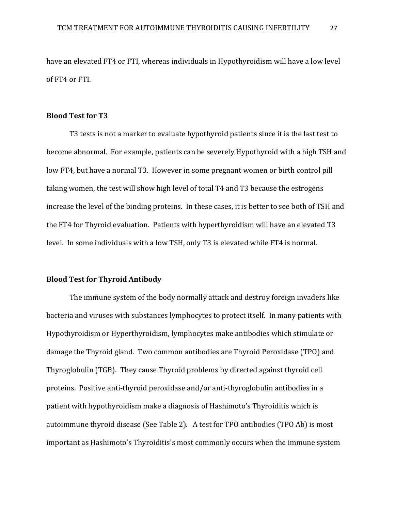have an elevated FT4 or FTI, whereas individuals in Hypothyroidism will have a low level of FT4 or FTI.

## **Blood Test for T3**

T3 tests is not a marker to evaluate hypothyroid patients since it is the last test to become abnormal. For example, patients can be severely Hypothyroid with a high TSH and low FT4, but have a normal T3. However in some pregnant women or birth control pill taking women, the test will show high level of total T4 and T3 because the estrogens increase the level of the binding proteins. In these cases, it is better to see both of TSH and the FT4 for Thyroid evaluation. Patients with hyperthyroidism will have an elevated T3 level. In some individuals with a low TSH, only T3 is elevated while FT4 is normal.

## **Blood Test for Thyroid Antibody**

The immune system of the body normally attack and destroy foreign invaders like bacteria and viruses with substances lymphocytes to protect itself. In many patients with Hypothyroidism or Hyperthyroidism, lymphocytes make antibodies which stimulate or damage the Thyroid gland. Two common antibodies are Thyroid Peroxidase (TPO) and Thyroglobulin (TGB). They cause Thyroid problems by directed against thyroid cell proteins. Positive anti-thyroid peroxidase and/or anti-thyroglobulin antibodies in a patient with hypothyroidism make a diagnosis of Hashimoto's Thyroiditis which is autoimmune thyroid disease (See Table 2). A test for TPO antibodies (TPO Ab) is most important as Hashimoto's Thyroiditis's most commonly occurs when the immune system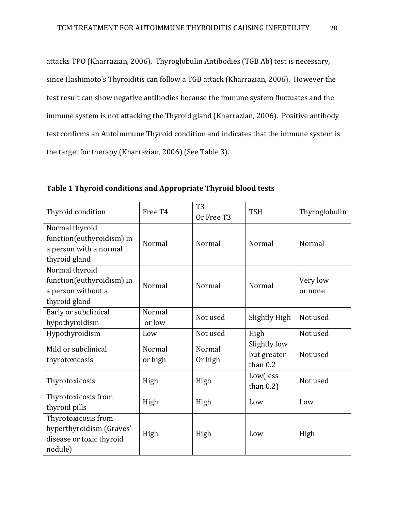attacks TPO (Kharrazian, 2006). Thyroglobulin Antibodies (TGB Ab) test is necessary, since Hashimoto's Thyroiditis can follow a TGB attack (Kharrazian, 2006). However the test result can show negative antibodies because the immune system fluctuates and the immune system is not attacking the Thyroid gland (Kharrazian, 2006). Positive antibody test confirms an Autoimmune Thyroid condition and indicates that the immune system is the target for therapy (Kharrazian, 2006) (See Table 3).

**Table 1 Thyroid conditions and Appropriate Thyroid blood tests**

| Thyroid condition                                                                      | Free T <sub>4</sub> | T <sub>3</sub><br>Or Free T3 | <b>TSH</b>                                | Thyroglobulin       |
|----------------------------------------------------------------------------------------|---------------------|------------------------------|-------------------------------------------|---------------------|
| Normal thyroid<br>function(euthyroidism) in<br>a person with a normal<br>thyroid gland | Normal              | Normal                       | Normal                                    | Normal              |
| Normal thyroid<br>function(euthyroidism) in<br>a person without a<br>thyroid gland     | Normal              | Normal                       | Normal                                    | Very low<br>or none |
| Early or subclinical<br>hypothyroidism                                                 | Normal<br>or low    | Not used                     | Slightly High                             | Not used            |
| Hypothyroidism                                                                         | Low                 | Not used                     | High                                      | Not used            |
| Mild or subclinical<br>thyrotoxicosis                                                  | Normal<br>or high   | Normal<br>Or high            | Slightly low<br>but greater<br>than $0.2$ | Not used            |
| Thyrotoxicosis                                                                         | High                | High                         | Low(less<br>than $0.2$ )                  | Not used            |
| Thyrotoxicosis from<br>thyroid pills                                                   | High                | High                         | Low                                       | Low                 |
| Thyrotoxicosis from<br>hyperthyroidism (Graves'<br>disease or toxic thyroid<br>nodule) | High                | High                         | Low                                       | High                |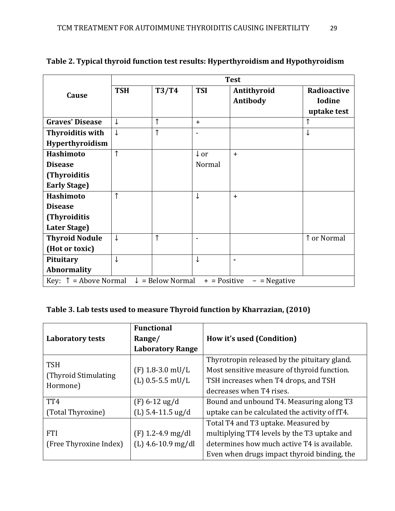|                                                                                                   | <b>Test</b>  |            |                 |             |               |
|---------------------------------------------------------------------------------------------------|--------------|------------|-----------------|-------------|---------------|
| Cause                                                                                             | <b>TSH</b>   | T3/T4      | <b>TSI</b>      | Antithyroid | Radioactive   |
|                                                                                                   |              |            |                 | Antibody    | <b>Iodine</b> |
|                                                                                                   |              |            |                 |             | uptake test   |
| <b>Graves' Disease</b>                                                                            | ↓            | ↑          | $+$             |             | ↑             |
| <b>Thyroiditis with</b>                                                                           | $\downarrow$ | $\uparrow$ | $\blacksquare$  |             | ↓             |
| Hyperthyroidism                                                                                   |              |            |                 |             |               |
| <b>Hashimoto</b>                                                                                  | $\uparrow$   |            | $\downarrow$ or | $+$         |               |
| <b>Disease</b>                                                                                    |              |            | Normal          |             |               |
| (Thyroiditis                                                                                      |              |            |                 |             |               |
| <b>Early Stage)</b>                                                                               |              |            |                 |             |               |
| <b>Hashimoto</b>                                                                                  | ↑            |            | ↓               | $+$         |               |
| <b>Disease</b>                                                                                    |              |            |                 |             |               |
| (Thyroiditis                                                                                      |              |            |                 |             |               |
| Later Stage)                                                                                      |              |            |                 |             |               |
| <b>Thyroid Nodule</b>                                                                             | $\downarrow$ | ↑          |                 |             | ↑ or Normal   |
| (Hot or toxic)                                                                                    |              |            |                 |             |               |
| Pituitary                                                                                         | ↓            |            | ↓               | ۰           |               |
| <b>Abnormality</b>                                                                                |              |            |                 |             |               |
| Key: $\uparrow$ = Above Normal<br>$\downarrow$ = Below Normal<br>$+$ = Positive<br>$-$ = Negative |              |            |                 |             |               |

**Table 2. Typical thyroid function test results: Hyperthyroidism and Hypothyroidism**

## **Table 3. Lab tests used to measure Thyroid function by Kharrazian, (2010)**

|                         | <b>Functional</b>       |                                               |
|-------------------------|-------------------------|-----------------------------------------------|
| <b>Laboratory tests</b> | Range/                  | How it's used (Condition)                     |
|                         | <b>Laboratory Range</b> |                                               |
| <b>TSH</b>              |                         | Thyrotropin released by the pituitary gland.  |
| (Thyroid Stimulating)   | $(F)$ 1.8-3.0 mU/L      | Most sensitive measure of thyroid function.   |
|                         | $(L)$ 0.5-5.5 mU/L      | TSH increases when T4 drops, and TSH          |
| Hormone)                |                         | decreases when T4 rises.                      |
| TT4                     | $(F) 6-12$ ug/d         | Bound and unbound T4. Measuring along T3      |
| (Total Thyroxine)       | $(L)$ 5.4-11.5 ug/d     | uptake can be calculated the activity of fT4. |
|                         |                         | Total T4 and T3 uptake. Measured by           |
| <b>FTI</b>              | $(F)$ 1.2-4.9 mg/dl     | multiplying TT4 levels by the T3 uptake and   |
| (Free Thyroxine Index)  | $(L)$ 4.6-10.9 mg/dl    | determines how much active T4 is available.   |
|                         |                         | Even when drugs impact thyroid binding, the   |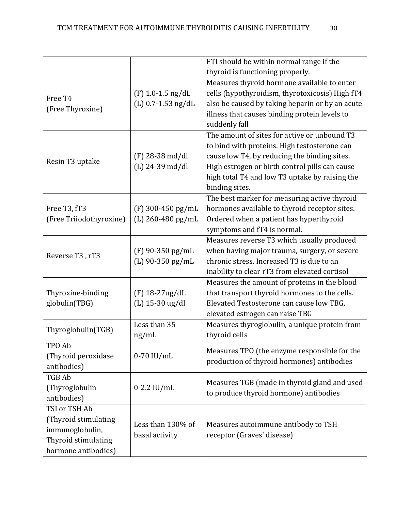|                         |                                  | FTI should be within normal range if the        |
|-------------------------|----------------------------------|-------------------------------------------------|
|                         | thyroid is functioning properly. |                                                 |
|                         |                                  | Measures thyroid hormone available to enter     |
|                         | $(F)$ 1.0-1.5 ng/dL              | cells (hypothyroidism, thyrotoxicosis) High fT4 |
| Free T <sub>4</sub>     | $(L)$ 0.7-1.53 ng/dL             | also be caused by taking heparin or by an acute |
| (Free Thyroxine)        |                                  | illness that causes binding protein levels to   |
|                         |                                  | suddenly fall                                   |
|                         |                                  | The amount of sites for active or unbound T3    |
|                         |                                  | to bind with proteins. High testosterone can    |
|                         | $(F)$ 28-38 md/dl                | cause low T4, by reducing the binding sites.    |
| Resin T3 uptake         | $(L)$ 24-39 md/dl                | High estrogen or birth control pills can cause  |
|                         |                                  | high total T4 and low T3 uptake by raising the  |
|                         |                                  | binding sites.                                  |
|                         |                                  | The best marker for measuring active thyroid    |
| Free T3, fT3            | $(F)$ 300-450 pg/mL              | hormones available to thyroid receptor sites.   |
| (Free Triiodothyroxine) | (L) 260-480 pg/mL                | Ordered when a patient has hyperthyroid         |
|                         |                                  | symptoms and fT4 is normal.                     |
|                         |                                  | Measures reverse T3 which usually produced      |
|                         | (F) 90-350 pg/mL                 | when having major trauma, surgery, or severe    |
| Reverse T3, rT3         | (L) 90-350 pg/mL                 | chronic stress. Increased T3 is due to an       |
|                         |                                  | inability to clear rT3 from elevated cortisol   |
|                         |                                  | Measures the amount of proteins in the blood    |
| Thyroxine-binding       | (F) 18-27ug/dL                   | that transport thyroid hormones to the cells.   |
| globulin(TBG)           | (L) 15-30 ug/dl                  | Elevated Testosterone can cause low TBG,        |
|                         |                                  | elevated estrogen can raise TBG                 |
|                         | Less than 35                     | Measures thyroglobulin, a unique protein from   |
| Thyroglobulin(TGB)      | ng/mL                            | thyroid cells                                   |
| TPO Ab                  |                                  |                                                 |
| (Thyroid peroxidase     | $0-70$ IU/mL                     | Measures TPO (the enzyme responsible for the    |
| antibodies)             |                                  | production of thyroid hormones) antibodies      |
| <b>TGB Ab</b>           |                                  |                                                 |
| (Thyroglobulin          | $0-2.2$ IU/mL                    | Measures TGB (made in thyroid gland and used    |
| antibodies)             |                                  | to produce thyroid hormone) antibodies          |
| TSI or TSH Ab           |                                  |                                                 |
| (Thyroid stimulating    |                                  |                                                 |
| immunoglobulin,         | Less than 130% of                | Measures autoimmune antibody to TSH             |
| Thyroid stimulating     | basal activity                   | receptor (Graves' disease)                      |
| hormone antibodies)     |                                  |                                                 |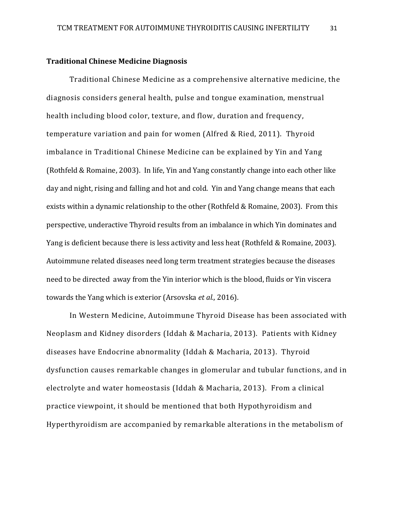#### **Traditional Chinese Medicine Diagnosis**

Traditional Chinese Medicine as a comprehensive alternative medicine, the diagnosis considers general health, pulse and tongue examination, menstrual health including blood color, texture, and flow, duration and frequency, temperature variation and pain for women (Alfred & Ried, 2011). Thyroid imbalance in Traditional Chinese Medicine can be explained by Yin and Yang (Rothfeld & Romaine, 2003). In life, Yin and Yang constantly change into each other like day and night, rising and falling and hot and cold. Yin and Yang change means that each exists within a dynamic relationship to the other (Rothfeld & Romaine, 2003). From this perspective, underactive Thyroid results from an imbalance in which Yin dominates and Yang is deficient because there is less activity and less heat (Rothfeld & Romaine, 2003). Autoimmune related diseases need long term treatment strategies because the diseases need to be directed away from the Yin interior which is the blood, fluids or Yin viscera towards the Yang which is exterior (Arsovska *et al.,* 2016).

In Western Medicine, Autoimmune Thyroid Disease has been associated with Neoplasm and Kidney disorders (Iddah & Macharia, 2013). Patients with Kidney diseases have Endocrine abnormality (Iddah & Macharia, 2013). Thyroid dysfunction causes remarkable changes in glomerular and tubular functions, and in electrolyte and water homeostasis (Iddah & Macharia, 2013). From a clinical practice viewpoint, it should be mentioned that both Hypothyroidism and Hyperthyroidism are accompanied by remarkable alterations in the metabolism of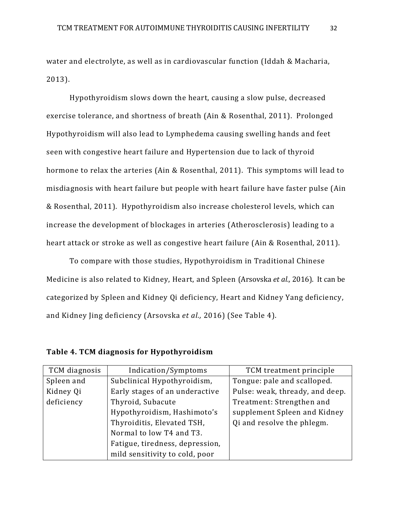water and electrolyte, as well as in cardiovascular function (Iddah & Macharia, 2013).

Hypothyroidism slows down the heart, causing a slow pulse, decreased exercise tolerance, and shortness of breath (Ain & Rosenthal, 2011). Prolonged Hypothyroidism will also lead to Lymphedema causing swelling hands and feet seen with congestive heart failure and Hypertension due to lack of thyroid hormone to relax the arteries (Ain & Rosenthal, 2011). This symptoms will lead to misdiagnosis with heart failure but people with heart failure have faster pulse (Ain & Rosenthal, 2011). Hypothyroidism also increase cholesterol levels, which can increase the development of blockages in arteries (Atherosclerosis) leading to a heart attack or stroke as well as congestive heart failure (Ain & Rosenthal, 2011).

To compare with those studies, Hypothyroidism in Traditional Chinese Medicine is also related to Kidney, Heart, and Spleen (Arsovska *et al.,* 2016). It can be categorized by Spleen and Kidney Qi deficiency, Heart and Kidney Yang deficiency, and Kidney Jing deficiency (Arsovska *et al.,* 2016) (See Table 4).

| TCM diagnosis | Indication/Symptoms             | TCM treatment principle         |
|---------------|---------------------------------|---------------------------------|
| Spleen and    | Subclinical Hypothyroidism,     | Tongue: pale and scalloped.     |
| Kidney Qi     | Early stages of an underactive  | Pulse: weak, thready, and deep. |
| deficiency    | Thyroid, Subacute               | Treatment: Strengthen and       |
|               | Hypothyroidism, Hashimoto's     | supplement Spleen and Kidney    |
|               | Thyroiditis, Elevated TSH,      | Qi and resolve the phlegm.      |
|               | Normal to low T4 and T3.        |                                 |
|               | Fatigue, tiredness, depression, |                                 |
|               | mild sensitivity to cold, poor  |                                 |

**Table 4. TCM diagnosis for Hypothyroidism**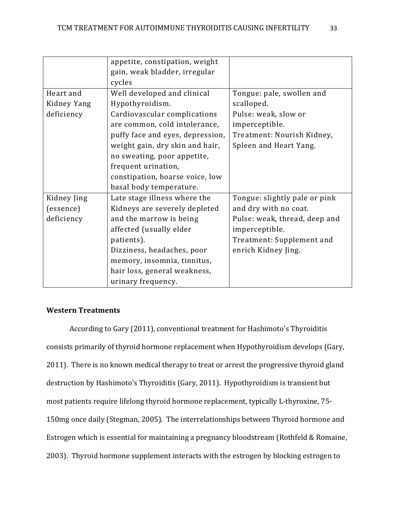|             | appetite, constipation, weight<br>gain, weak bladder, irregular |                               |
|-------------|-----------------------------------------------------------------|-------------------------------|
|             | cycles                                                          |                               |
| Heart and   | Well developed and clinical                                     | Tongue: pale, swollen and     |
| Kidney Yang | Hypothyroidism.                                                 | scalloped.                    |
| deficiency  | Cardiovascular complications                                    | Pulse: weak, slow or          |
|             | are common, cold intolerance,                                   | imperceptible.                |
|             | puffy face and eyes, depression,                                | Treatment: Nourish Kidney,    |
|             | weight gain, dry skin and hair,                                 | Spleen and Heart Yang.        |
|             | no sweating, poor appetite,                                     |                               |
|             | frequent urination,                                             |                               |
|             | constipation, hoarse voice, low                                 |                               |
|             | basal body temperature.                                         |                               |
| Kidney Jing | Late stage illness where the                                    | Tongue: slightly pale or pink |
| (essence)   | Kidneys are severely depleted                                   | and dry with no coat.         |
| deficiency  | and the marrow is being                                         | Pulse: weak, thread, deep and |
|             | affected (usually elder                                         | imperceptible.                |
|             | patients).                                                      | Treatment: Supplement and     |
|             | Dizziness, headaches, poor                                      | enrich Kidney Jing.           |
|             | memory, insomnia, tinnitus,                                     |                               |
|             | hair loss, general weakness,                                    |                               |
|             | urinary frequency.                                              |                               |

## **Western Treatments**

According to Gary (2011), conventional treatment for Hashimoto's Thyroiditis consists primarily of thyroid hormone replacement when Hypothyroidism develops (Gary, 2011). There is no known medical therapy to treat or arrest the progressive thyroid gland destruction by Hashimoto's Thyroiditis (Gary, 2011). Hypothyroidism is transient but most patients require lifelong thyroid hormone replacement, typically L-thyroxine, 75- 150mg once daily (Stegman, 2005). The interrelationships between Thyroid hormone and Estrogen which is essential for maintaining a pregnancy bloodstream (Rothfeld & Romaine, 2003). Thyroid hormone supplement interacts with the estrogen by blocking estrogen to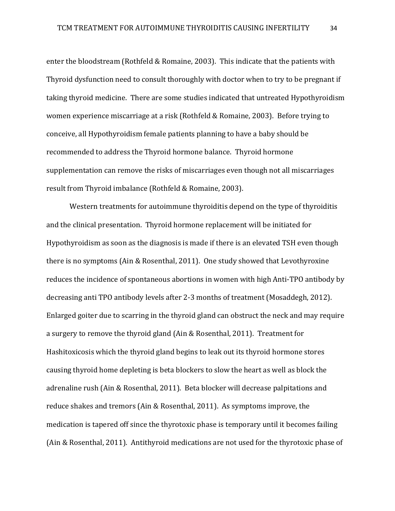enter the bloodstream (Rothfeld & Romaine, 2003). This indicate that the patients with Thyroid dysfunction need to consult thoroughly with doctor when to try to be pregnant if taking thyroid medicine. There are some studies indicated that untreated Hypothyroidism women experience miscarriage at a risk (Rothfeld & Romaine, 2003). Before trying to conceive, all Hypothyroidism female patients planning to have a baby should be recommended to address the Thyroid hormone balance. Thyroid hormone supplementation can remove the risks of miscarriages even though not all miscarriages result from Thyroid imbalance (Rothfeld & Romaine, 2003).

Western treatments for autoimmune thyroiditis depend on the type of thyroiditis and the clinical presentation. Thyroid hormone replacement will be initiated for Hypothyroidism as soon as the diagnosis is made if there is an elevated TSH even though there is no symptoms (Ain & Rosenthal, 2011). One study showed that Levothyroxine reduces the incidence of spontaneous abortions in women with high Anti-TPO antibody by decreasing anti TPO antibody levels after 2-3 months of treatment (Mosaddegh, 2012). Enlarged goiter due to scarring in the thyroid gland can obstruct the neck and may require a surgery to remove the thyroid gland (Ain & Rosenthal, 2011). Treatment for Hashitoxicosis which the thyroid gland begins to leak out its thyroid hormone stores causing thyroid home depleting is beta blockers to slow the heart as well as block the adrenaline rush (Ain & Rosenthal, 2011). Beta blocker will decrease palpitations and reduce shakes and tremors (Ain & Rosenthal, 2011). As symptoms improve, the medication is tapered off since the thyrotoxic phase is temporary until it becomes failing (Ain & Rosenthal, 2011). Antithyroid medications are not used for the thyrotoxic phase of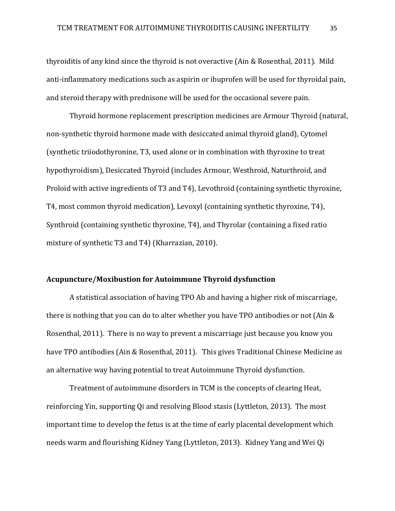thyroiditis of any kind since the thyroid is not overactive (Ain & Rosenthal, 2011). Mild anti-inflammatory medications such as aspirin or ibuprofen will be used for thyroidal pain, and steroid therapy with prednisone will be used for the occasional severe pain.

Thyroid hormone replacement prescription medicines are Armour Thyroid (natural, non-synthetic thyroid hormone made with desiccated animal thyroid gland), Cytomel (synthetic triiodothyronine, T3, used alone or in combination with thyroxine to treat hypothyroidism), Desiccated Thyroid (includes Armour, Westhroid, Naturthroid, and Proloid with active ingredients of T3 and T4), Levothroid (containing synthetic thyroxine, T4, most common thyroid medication), Levoxyl (containing synthetic thyroxine, T4), Synthroid (containing synthetic thyroxine, T4), and Thyrolar (containing a fixed ratio mixture of synthetic T3 and T4) (Kharrazian, 2010).

#### **Acupuncture/Moxibustion for Autoimmune Thyroid dysfunction**

A statistical association of having TPO Ab and having a higher risk of miscarriage, there is nothing that you can do to alter whether you have TPO antibodies or not (Ain & Rosenthal, 2011). There is no way to prevent a miscarriage just because you know you have TPO antibodies (Ain & Rosenthal, 2011). This gives Traditional Chinese Medicine as an alternative way having potential to treat Autoimmune Thyroid dysfunction.

Treatment of autoimmune disorders in TCM is the concepts of clearing Heat, reinforcing Yin, supporting Qi and resolving Blood stasis (Lyttleton, 2013). The most important time to develop the fetus is at the time of early placental development which needs warm and flourishing Kidney Yang (Lyttleton, 2013). Kidney Yang and Wei Qi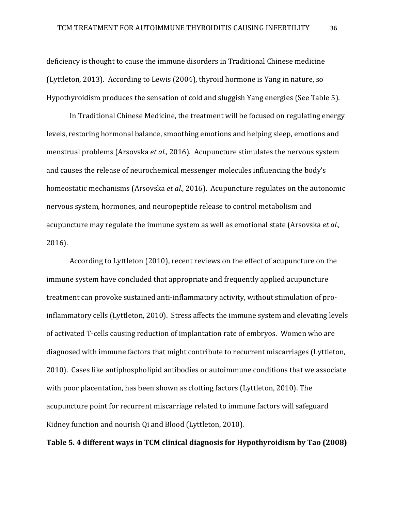deficiency is thought to cause the immune disorders in Traditional Chinese medicine (Lyttleton, 2013). According to Lewis (2004), thyroid hormone is Yang in nature, so Hypothyroidism produces the sensation of cold and sluggish Yang energies (See Table 5).

In Traditional Chinese Medicine, the treatment will be focused on regulating energy levels, restoring hormonal balance, smoothing emotions and helping sleep, emotions and menstrual problems (Arsovska *et al.,* 2016). Acupuncture stimulates the nervous system and causes the release of neurochemical messenger molecules influencing the body's homeostatic mechanisms (Arsovska *et al.,* 2016). Acupuncture regulates on the autonomic nervous system, hormones, and neuropeptide release to control metabolism and acupuncture may regulate the immune system as well as emotional state (Arsovska *et al.,* 2016).

According to Lyttleton (2010), recent reviews on the effect of acupuncture on the immune system have concluded that appropriate and frequently applied acupuncture treatment can provoke sustained anti-inflammatory activity, without stimulation of proinflammatory cells (Lyttleton, 2010). Stress affects the immune system and elevating levels of activated T-cells causing reduction of implantation rate of embryos. Women who are diagnosed with immune factors that might contribute to recurrent miscarriages (Lyttleton, 2010). Cases like antiphospholipid antibodies or autoimmune conditions that we associate with poor placentation, has been shown as clotting factors (Lyttleton, 2010). The acupuncture point for recurrent miscarriage related to immune factors will safeguard Kidney function and nourish Qi and Blood (Lyttleton, 2010).

## **Table 5. 4 different ways in TCM clinical diagnosis for Hypothyroidism by Tao (2008)**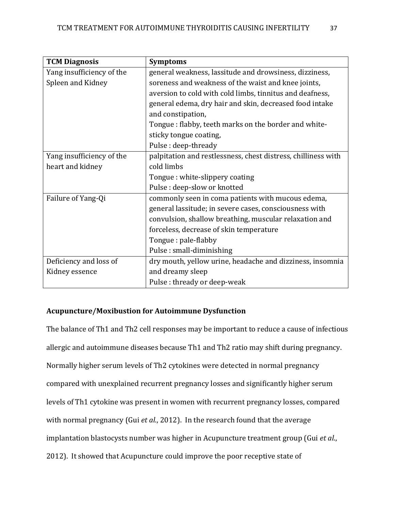| <b>TCM Diagnosis</b>      | <b>Symptoms</b>                                               |  |  |
|---------------------------|---------------------------------------------------------------|--|--|
| Yang insufficiency of the | general weakness, lassitude and drowsiness, dizziness,        |  |  |
| Spleen and Kidney         | soreness and weakness of the waist and knee joints,           |  |  |
|                           | aversion to cold with cold limbs, tinnitus and deafness,      |  |  |
|                           | general edema, dry hair and skin, decreased food intake       |  |  |
|                           | and constipation,                                             |  |  |
|                           | Tongue: flabby, teeth marks on the border and white-          |  |  |
|                           | sticky tongue coating,                                        |  |  |
|                           | Pulse: deep-thready                                           |  |  |
| Yang insufficiency of the | palpitation and restlessness, chest distress, chilliness with |  |  |
| heart and kidney          | cold limbs                                                    |  |  |
|                           | Tongue: white-slippery coating                                |  |  |
|                           | Pulse: deep-slow or knotted                                   |  |  |
| Failure of Yang-Qi        | commonly seen in coma patients with mucous edema,             |  |  |
|                           | general lassitude; in severe cases, consciousness with        |  |  |
|                           | convulsion, shallow breathing, muscular relaxation and        |  |  |
|                           | forceless, decrease of skin temperature                       |  |  |
|                           | Tongue: pale-flabby                                           |  |  |
|                           | Pulse: small-diminishing                                      |  |  |
| Deficiency and loss of    | dry mouth, yellow urine, headache and dizziness, insomnia     |  |  |
| Kidney essence            | and dreamy sleep                                              |  |  |
|                           | Pulse: thready or deep-weak                                   |  |  |

## **Acupuncture/Moxibustion for Autoimmune Dysfunction**

The balance of Th1 and Th2 cell responses may be important to reduce a cause of infectious allergic and autoimmune diseases because Th1 and Th2 ratio may shift during pregnancy. Normally higher serum levels of Th2 cytokines were detected in normal pregnancy compared with unexplained recurrent pregnancy losses and significantly higher serum levels of Th1 cytokine was present in women with recurrent pregnancy losses, compared with normal pregnancy (Gui *et al*., 2012). In the research found that the average implantation blastocysts number was higher in Acupuncture treatment group (Gui *et al*., 2012). It showed that Acupuncture could improve the poor receptive state of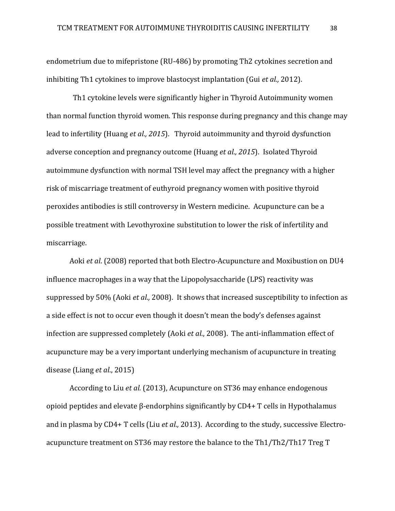endometrium due to mifepristone (RU-486) by promoting Th2 cytokines secretion and inhibiting Th1 cytokines to improve blastocyst implantation (Gui *et al.,* 2012).

 Th1 cytokine levels were significantly higher in Thyroid Autoimmunity women than normal function thyroid women. This response during pregnancy and this change may lead to infertility (Huang *et al., 2015*). Thyroid autoimmunity and thyroid dysfunction adverse conception and pregnancy outcome (Huang *et al., 2015*). Isolated Thyroid autoimmune dysfunction with normal TSH level may affect the pregnancy with a higher risk of miscarriage treatment of euthyroid pregnancy women with positive thyroid peroxides antibodies is still controversy in Western medicine. Acupuncture can be a possible treatment with Levothyroxine substitution to lower the risk of infertility and miscarriage.

Aoki *et al*. (2008) reported that both Electro-Acupuncture and Moxibustion on DU4 influence macrophages in a way that the Lipopolysaccharide (LPS) reactivity was suppressed by 50% (Aoki *et al.,* 2008). It shows that increased susceptibility to infection as a side effect is not to occur even though it doesn't mean the body's defenses against infection are suppressed completely (Aoki *et al*., 2008). The anti-inflammation effect of acupuncture may be a very important underlying mechanism of acupuncture in treating disease (Liang *et al*., 2015)

According to Liu *et al.* (2013), Acupuncture on ST36 may enhance endogenous opioid peptides and elevate β-endorphins significantly by CD4+ T cells in Hypothalamus and in plasma by CD4+ T cells (Liu *et al.,* 2013). According to the study, successive Electroacupuncture treatment on ST36 may restore the balance to the Th1/Th2/Th17 Treg T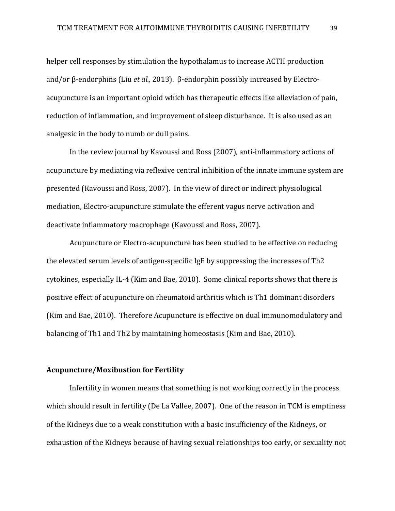helper cell responses by stimulation the hypothalamus to increase ACTH production and/or β-endorphins (Liu *et al.,* 2013). β-endorphin possibly increased by Electroacupuncture is an important opioid which has therapeutic effects like alleviation of pain, reduction of inflammation, and improvement of sleep disturbance. It is also used as an analgesic in the body to numb or dull pains.

In the review journal by Kavoussi and Ross (2007), anti-inflammatory actions of acupuncture by mediating via reflexive central inhibition of the innate immune system are presented (Kavoussi and Ross, 2007). In the view of direct or indirect physiological mediation, Electro-acupuncture stimulate the efferent vagus nerve activation and deactivate inflammatory macrophage (Kavoussi and Ross, 2007).

Acupuncture or Electro-acupuncture has been studied to be effective on reducing the elevated serum levels of antigen-specific IgE by suppressing the increases of Th2 cytokines, especially IL-4 (Kim and Bae, 2010). Some clinical reports shows that there is positive effect of acupuncture on rheumatoid arthritis which is Th1 dominant disorders (Kim and Bae, 2010). Therefore Acupuncture is effective on dual immunomodulatory and balancing of Th1 and Th2 by maintaining homeostasis (Kim and Bae, 2010).

## **Acupuncture/Moxibustion for Fertility**

Infertility in women means that something is not working correctly in the process which should result in fertility (De La Vallee, 2007). One of the reason in TCM is emptiness of the Kidneys due to a weak constitution with a basic insufficiency of the Kidneys, or exhaustion of the Kidneys because of having sexual relationships too early, or sexuality not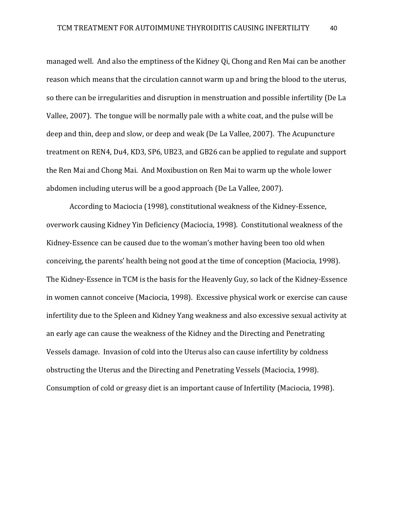managed well. And also the emptiness of the Kidney Qi, Chong and Ren Mai can be another reason which means that the circulation cannot warm up and bring the blood to the uterus, so there can be irregularities and disruption in menstruation and possible infertility (De La Vallee, 2007). The tongue will be normally pale with a white coat, and the pulse will be deep and thin, deep and slow, or deep and weak (De La Vallee, 2007). The Acupuncture treatment on REN4, Du4, KD3, SP6, UB23, and GB26 can be applied to regulate and support the Ren Mai and Chong Mai. And Moxibustion on Ren Mai to warm up the whole lower abdomen including uterus will be a good approach (De La Vallee, 2007).

According to Maciocia (1998), constitutional weakness of the Kidney-Essence, overwork causing Kidney Yin Deficiency (Maciocia, 1998). Constitutional weakness of the Kidney-Essence can be caused due to the woman's mother having been too old when conceiving, the parents' health being not good at the time of conception (Maciocia, 1998). The Kidney-Essence in TCM is the basis for the Heavenly Guy, so lack of the Kidney-Essence in women cannot conceive (Maciocia, 1998). Excessive physical work or exercise can cause infertility due to the Spleen and Kidney Yang weakness and also excessive sexual activity at an early age can cause the weakness of the Kidney and the Directing and Penetrating Vessels damage. Invasion of cold into the Uterus also can cause infertility by coldness obstructing the Uterus and the Directing and Penetrating Vessels (Maciocia, 1998). Consumption of cold or greasy diet is an important cause of Infertility (Maciocia, 1998).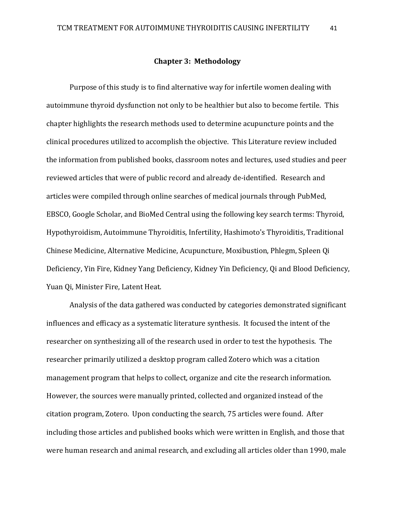### **Chapter 3: Methodology**

Purpose of this study is to find alternative way for infertile women dealing with autoimmune thyroid dysfunction not only to be healthier but also to become fertile. This chapter highlights the research methods used to determine acupuncture points and the clinical procedures utilized to accomplish the objective. This Literature review included the information from published books, classroom notes and lectures, used studies and peer reviewed articles that were of public record and already de-identified. Research and articles were compiled through online searches of medical journals through PubMed, EBSCO, Google Scholar, and BioMed Central using the following key search terms: Thyroid, Hypothyroidism, Autoimmune Thyroiditis, Infertility, Hashimoto's Thyroiditis, Traditional Chinese Medicine, Alternative Medicine, Acupuncture, Moxibustion, Phlegm, Spleen Qi Deficiency, Yin Fire, Kidney Yang Deficiency, Kidney Yin Deficiency, Qi and Blood Deficiency, Yuan Qi, Minister Fire, Latent Heat.

Analysis of the data gathered was conducted by categories demonstrated significant influences and efficacy as a systematic literature synthesis. It focused the intent of the researcher on synthesizing all of the research used in order to test the hypothesis. The researcher primarily utilized a desktop program called Zotero which was a citation management program that helps to collect, organize and cite the research information. However, the sources were manually printed, collected and organized instead of the citation program, Zotero. Upon conducting the search, 75 articles were found. After including those articles and published books which were written in English, and those that were human research and animal research, and excluding all articles older than 1990, male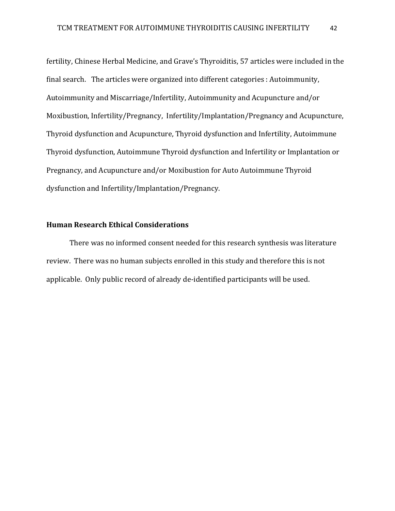fertility, Chinese Herbal Medicine, and Grave's Thyroiditis, 57 articles were included in the final search. The articles were organized into different categories : Autoimmunity, Autoimmunity and Miscarriage/Infertility, Autoimmunity and Acupuncture and/or Moxibustion, Infertility/Pregnancy, Infertility/Implantation/Pregnancy and Acupuncture, Thyroid dysfunction and Acupuncture, Thyroid dysfunction and Infertility, Autoimmune Thyroid dysfunction, Autoimmune Thyroid dysfunction and Infertility or Implantation or Pregnancy, and Acupuncture and/or Moxibustion for Auto Autoimmune Thyroid dysfunction and Infertility/Implantation/Pregnancy.

## **Human Research Ethical Considerations**

There was no informed consent needed for this research synthesis was literature review. There was no human subjects enrolled in this study and therefore this is not applicable. Only public record of already de-identified participants will be used.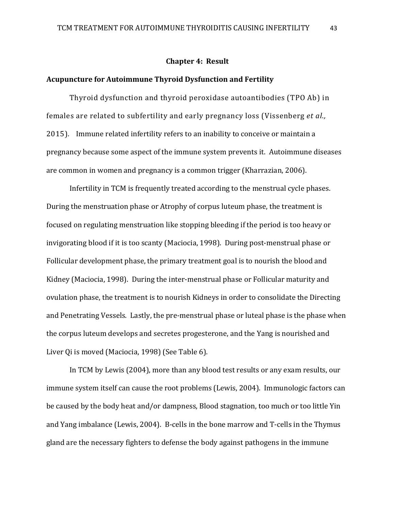#### **Chapter 4: Result**

## **Acupuncture for Autoimmune Thyroid Dysfunction and Fertility**

Thyroid dysfunction and thyroid peroxidase autoantibodies (TPO Ab) in females are related to subfertility and early pregnancy loss (Vissenberg *et al.,*  2015)*.* Immune related infertility refers to an inability to conceive or maintain a pregnancy because some aspect of the immune system prevents it. Autoimmune diseases are common in women and pregnancy is a common trigger (Kharrazian, 2006).

Infertility in TCM is frequently treated according to the menstrual cycle phases. During the menstruation phase or Atrophy of corpus luteum phase, the treatment is focused on regulating menstruation like stopping bleeding if the period is too heavy or invigorating blood if it is too scanty (Maciocia, 1998). During post-menstrual phase or Follicular development phase, the primary treatment goal is to nourish the blood and Kidney (Maciocia, 1998). During the inter-menstrual phase or Follicular maturity and ovulation phase, the treatment is to nourish Kidneys in order to consolidate the Directing and Penetrating Vessels. Lastly, the pre-menstrual phase or luteal phase is the phase when the corpus luteum develops and secretes progesterone, and the Yang is nourished and Liver Qi is moved (Maciocia, 1998) (See Table 6).

In TCM by Lewis (2004), more than any blood test results or any exam results, our immune system itself can cause the root problems (Lewis, 2004). Immunologic factors can be caused by the body heat and/or dampness, Blood stagnation, too much or too little Yin and Yang imbalance (Lewis, 2004). B-cells in the bone marrow and T-cells in the Thymus gland are the necessary fighters to defense the body against pathogens in the immune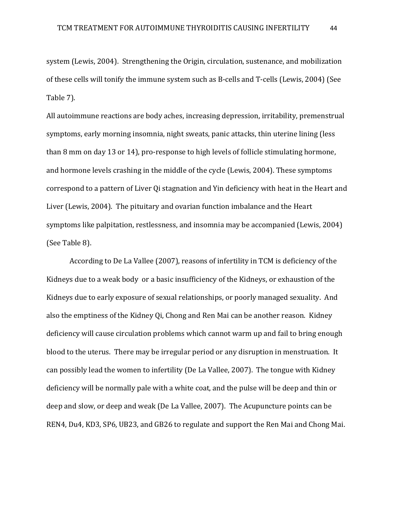system (Lewis, 2004). Strengthening the Origin, circulation, sustenance, and mobilization of these cells will tonify the immune system such as B-cells and T-cells (Lewis, 2004) (See Table 7).

All autoimmune reactions are body aches, increasing depression, irritability, premenstrual symptoms, early morning insomnia, night sweats, panic attacks, thin uterine lining (less than 8 mm on day 13 or 14), pro-response to high levels of follicle stimulating hormone, and hormone levels crashing in the middle of the cycle (Lewis, 2004). These symptoms correspond to a pattern of Liver Qi stagnation and Yin deficiency with heat in the Heart and Liver (Lewis, 2004). The pituitary and ovarian function imbalance and the Heart symptoms like palpitation, restlessness, and insomnia may be accompanied (Lewis, 2004) (See Table 8).

According to De La Vallee (2007), reasons of infertility in TCM is deficiency of the Kidneys due to a weak body or a basic insufficiency of the Kidneys, or exhaustion of the Kidneys due to early exposure of sexual relationships, or poorly managed sexuality. And also the emptiness of the Kidney Qi, Chong and Ren Mai can be another reason. Kidney deficiency will cause circulation problems which cannot warm up and fail to bring enough blood to the uterus. There may be irregular period or any disruption in menstruation. It can possibly lead the women to infertility (De La Vallee, 2007). The tongue with Kidney deficiency will be normally pale with a white coat, and the pulse will be deep and thin or deep and slow, or deep and weak (De La Vallee, 2007). The Acupuncture points can be REN4, Du4, KD3, SP6, UB23, and GB26 to regulate and support the Ren Mai and Chong Mai.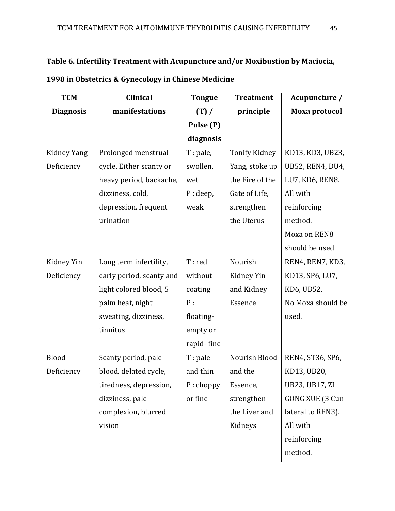## **Table 6. Infertility Treatment with Acupuncture and/or Moxibustion by Maciocia,**

| <b>TCM</b>       | <b>Clinical</b>          | <b>Tongue</b> | <b>Treatment</b>     | Acupuncture /     |
|------------------|--------------------------|---------------|----------------------|-------------------|
| <b>Diagnosis</b> | manifestations           | (T) /         | principle            | Moxa protocol     |
|                  |                          | Pulse (P)     |                      |                   |
|                  |                          | diagnosis     |                      |                   |
| Kidney Yang      | Prolonged menstrual      | $T:$ pale,    | <b>Tonify Kidney</b> | KD13, KD3, UB23,  |
| Deficiency       | cycle, Either scanty or  | swollen,      | Yang, stoke up       | UB52, REN4, DU4,  |
|                  | heavy period, backache,  | wet           | the Fire of the      | LU7, KD6, REN8.   |
|                  | dizziness, cold,         | P: deep,      | Gate of Life,        | All with          |
|                  | depression, frequent     | weak          | strengthen           | reinforcing       |
|                  | urination                |               | the Uterus           | method.           |
|                  |                          |               |                      | Moxa on REN8      |
|                  |                          |               |                      | should be used    |
| Kidney Yin       | Long term infertility,   | T: red        | Nourish              | REN4, REN7, KD3,  |
| Deficiency       | early period, scanty and | without       | Kidney Yin           | KD13, SP6, LU7,   |
|                  | light colored blood, 5   | coating       | and Kidney           | KD6, UB52.        |
|                  | palm heat, night         | P:            | Essence              | No Moxa should be |
|                  | sweating, dizziness,     | floating-     |                      | used.             |
|                  | tinnitus                 | empty or      |                      |                   |
|                  |                          | rapid-fine    |                      |                   |
| Blood            | Scanty period, pale      | T: pale       | Nourish Blood        | REN4, ST36, SP6,  |
| Deficiency       | blood, delated cycle,    | and thin      | and the              | KD13, UB20,       |
|                  | tiredness, depression,   | $P:$ choppy   | Essence,             | UB23, UB17, ZI    |
|                  | dizziness, pale          | or fine       | strengthen           | GONG XUE (3 Cun   |
|                  | complexion, blurred      |               | the Liver and        | lateral to REN3). |
|                  | vision                   |               | Kidneys              | All with          |
|                  |                          |               |                      | reinforcing       |
|                  |                          |               |                      | method.           |

## **1998 in Obstetrics & Gynecology in Chinese Medicine**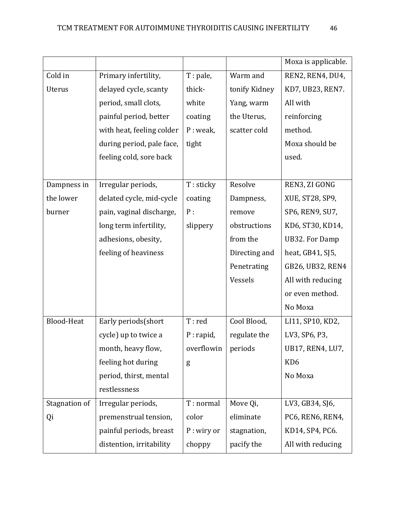|                   |                           |              |               | Moxa is applicable.     |
|-------------------|---------------------------|--------------|---------------|-------------------------|
| Cold in           | Primary infertility,      | $T:$ pale,   | Warm and      | REN2, REN4, DU4,        |
| Uterus            | delayed cycle, scanty     | thick-       | tonify Kidney | KD7, UB23, REN7.        |
|                   | period, small clots,      | white        | Yang, warm    | All with                |
|                   | painful period, better    | coating      | the Uterus,   | reinforcing             |
|                   | with heat, feeling colder | P: weak,     | scatter cold  | method.                 |
|                   | during period, pale face, | tight        |               | Moxa should be          |
|                   | feeling cold, sore back   |              |               | used.                   |
|                   |                           |              |               |                         |
| Dampness in       | Irregular periods,        | T: sticky    | Resolve       | REN3, ZI GONG           |
| the lower         | delated cycle, mid-cycle  | coating      | Dampness,     | XUE, ST28, SP9,         |
| burner            | pain, vaginal discharge,  | P:           | remove        | SP6, REN9, SU7,         |
|                   | long term infertility,    | slippery     | obstructions  | KD6, ST30, KD14,        |
|                   | adhesions, obesity,       |              | from the      | <b>UB32. For Damp</b>   |
|                   | feeling of heaviness      |              | Directing and | heat, GB41, SJ5,        |
|                   |                           |              | Penetrating   | GB26, UB32, REN4        |
|                   |                           |              | Vessels       | All with reducing       |
|                   |                           |              |               | or even method.         |
|                   |                           |              |               | No Moxa                 |
| <b>Blood-Heat</b> | Early periods(short       | T:red        | Cool Blood,   | LI11, SP10, KD2,        |
|                   | cycle) up to twice a      | P: rapid,    | regulate the  | LV3, SP6, P3,           |
|                   | month, heavy flow,        | overflowin   | periods       | <b>UB17, REN4, LU7,</b> |
|                   | feeling hot during        | g            |               | KD <sub>6</sub>         |
|                   | period, thirst, mental    |              |               | No Moxa                 |
|                   | restlessness              |              |               |                         |
| Stagnation of     | Irregular periods,        | T: normal    | Move Qi,      | LV3, GB34, SJ6,         |
| Qi                | premenstrual tension,     | color        | eliminate     | PC6, REN6, REN4,        |
|                   | painful periods, breast   | $P:$ wiry or | stagnation,   | KD14, SP4, PC6.         |
|                   | distention, irritability  | choppy       | pacify the    | All with reducing       |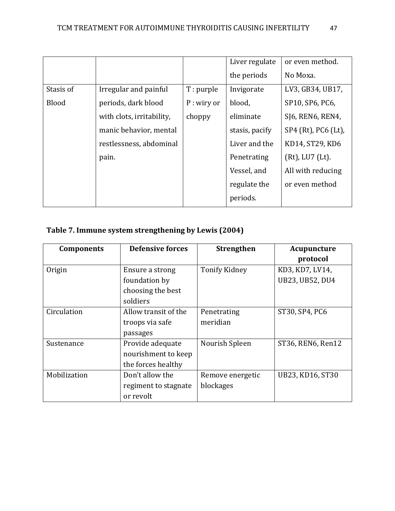|           |                           |              | Liver regulate | or even method.       |
|-----------|---------------------------|--------------|----------------|-----------------------|
|           |                           |              | the periods    | No Moxa.              |
| Stasis of | Irregular and painful     | T: purple    | Invigorate     | LV3, GB34, UB17,      |
| Blood     | periods, dark blood       | $P:$ wiry or | blood,         | SP10, SP6, PC6,       |
|           | with clots, irritability, | choppy       | eliminate      | SJ6, REN6, REN4,      |
|           | manic behavior, mental    |              | stasis, pacify | SP4 (Rt), PC6 (Lt),   |
|           | restlessness, abdominal   |              | Liver and the  | KD14, ST29, KD6       |
|           | pain.                     |              | Penetrating    | $(Rt)$ , LU7 $(Lt)$ . |
|           |                           |              | Vessel, and    | All with reducing     |
|           |                           |              | regulate the   | or even method        |
|           |                           |              | periods.       |                       |

# **Table 7. Immune system strengthening by Lewis (2004)**

| <b>Components</b> | <b>Defensive forces</b> | <b>Strengthen</b>    | Acupuncture            |
|-------------------|-------------------------|----------------------|------------------------|
|                   |                         |                      | protocol               |
| Origin            | Ensure a strong         | <b>Tonify Kidney</b> | KD3, KD7, LV14,        |
|                   | foundation by           |                      | <b>UB23, UB52, DU4</b> |
|                   | choosing the best       |                      |                        |
|                   | soldiers                |                      |                        |
| Circulation       | Allow transit of the    | Penetrating          | ST30, SP4, PC6         |
|                   | troops via safe         | meridian             |                        |
|                   | passages                |                      |                        |
| Sustenance        | Provide adequate        | Nourish Spleen       | ST36, REN6, Ren12      |
|                   | nourishment to keep     |                      |                        |
|                   | the forces healthy      |                      |                        |
| Mobilization      | Don't allow the         | Remove energetic     | UB23, KD16, ST30       |
|                   | regiment to stagnate    | blockages            |                        |
|                   | or revolt               |                      |                        |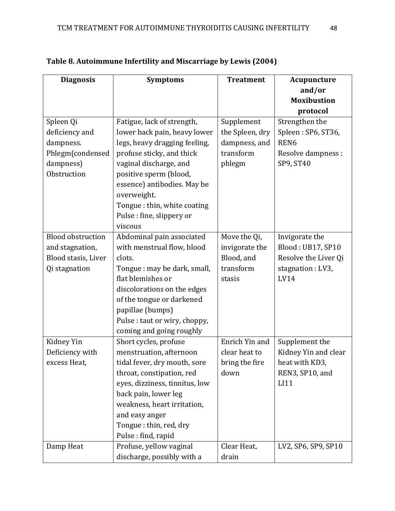| <b>Diagnosis</b>                                                                    | <b>Symptoms</b>                                                                                                                                                                                                                                                          | <b>Treatment</b>                                                    | Acupuncture                                                                              |
|-------------------------------------------------------------------------------------|--------------------------------------------------------------------------------------------------------------------------------------------------------------------------------------------------------------------------------------------------------------------------|---------------------------------------------------------------------|------------------------------------------------------------------------------------------|
|                                                                                     |                                                                                                                                                                                                                                                                          |                                                                     | and/or                                                                                   |
|                                                                                     |                                                                                                                                                                                                                                                                          |                                                                     | <b>Moxibustion</b>                                                                       |
|                                                                                     |                                                                                                                                                                                                                                                                          |                                                                     | protocol                                                                                 |
| Spleen Qi<br>deficiency and<br>dampness.<br>Phlegm(condensed                        | Fatigue, lack of strength,<br>lower back pain, heavy lower<br>legs, heavy dragging feeling,<br>profuse sticky, and thick                                                                                                                                                 | Supplement<br>the Spleen, dry<br>dampness, and<br>transform         | Strengthen the<br>Spleen: SP6, ST36,<br>REN <sub>6</sub><br>Resolve dampness :           |
| dampness)<br>Obstruction                                                            | vaginal discharge, and<br>positive sperm (blood,<br>essence) antibodies. May be<br>overweight.<br>Tongue : thin, white coating<br>Pulse: fine, slippery or<br>viscous                                                                                                    | phlegm                                                              | SP9, ST40                                                                                |
| <b>Blood obstruction</b><br>and stagnation,<br>Blood stasis, Liver<br>Qi stagnation | Abdominal pain associated<br>with menstrual flow, blood<br>clots.<br>Tongue: may be dark, small,<br>flat blemishes or<br>discolorations on the edges<br>of the tongue or darkened<br>papillae (bumps)<br>Pulse : taut or wiry, choppy,<br>coming and going roughly       | Move the Qi,<br>invigorate the<br>Blood, and<br>transform<br>stasis | Invigorate the<br>Blood: UB17, SP10<br>Resolve the Liver Qi<br>stagnation : LV3,<br>LV14 |
| Kidney Yin<br>Deficiency with<br>excess Heat,                                       | Short cycles, profuse<br>menstruation, afternoon<br>tidal fever, dry mouth, sore<br>throat, constipation, red<br>eyes, dizziness, tinnitus, low<br>back pain, lower leg<br>weakness, heart irritation,<br>and easy anger<br>Tongue: thin, red, dry<br>Pulse: find, rapid | Enrich Yin and<br>clear heat to<br>bring the fire<br>down           | Supplement the<br>Kidney Yin and clear<br>heat with KD3,<br>REN3, SP10, and<br>LI11      |
| Damp Heat                                                                           | Profuse, yellow vaginal<br>discharge, possibly with a                                                                                                                                                                                                                    | Clear Heat,<br>drain                                                | LV2, SP6, SP9, SP10                                                                      |

## **Table 8. Autoimmune Infertility and Miscarriage by Lewis (2004)**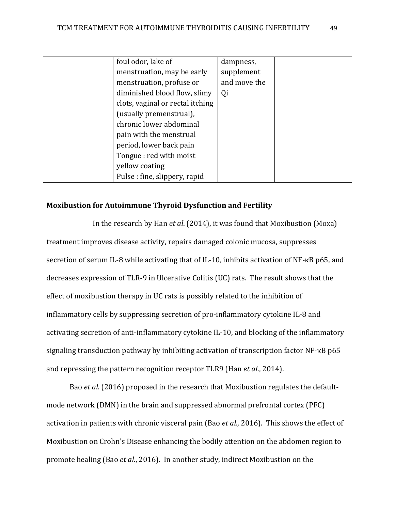| foul odor, lake of               | dampness,    |  |
|----------------------------------|--------------|--|
| menstruation, may be early       | supplement   |  |
| menstruation, profuse or         | and move the |  |
| diminished blood flow, slimy     | Qi           |  |
| clots, vaginal or rectal itching |              |  |
| (usually premenstrual),          |              |  |
| chronic lower abdominal          |              |  |
| pain with the menstrual          |              |  |
| period, lower back pain          |              |  |
| Tongue: red with moist           |              |  |
| yellow coating                   |              |  |
| Pulse: fine, slippery, rapid     |              |  |

## **Moxibustion for Autoimmune Thyroid Dysfunction and Fertility**

In the research by Han *et al*. (2014), it was found that Moxibustion (Moxa) treatment improves disease activity, repairs damaged colonic mucosa, suppresses secretion of serum IL-8 while activating that of IL-10, inhibits activation of NF-κB p65, and decreases expression of TLR-9 in Ulcerative Colitis (UC) rats. The result shows that the effect of moxibustion therapy in UC rats is possibly related to the inhibition of inflammatory cells by suppressing secretion of pro-inflammatory cytokine IL-8 and activating secretion of anti-inflammatory cytokine IL-10, and blocking of the inflammatory signaling transduction pathway by inhibiting activation of transcription factor NF-κB p65 and repressing the pattern recognition receptor TLR9 (Han *et al*., 2014).

Bao *et al*. (2016) proposed in the research that Moxibustion regulates the defaultmode network (DMN) in the brain and suppressed abnormal prefrontal cortex (PFC) activation in patients with chronic visceral pain (Bao *et al*., 2016). This shows the effect of Moxibustion on Crohn's Disease enhancing the bodily attention on the abdomen region to promote healing (Bao *et al*., 2016). In another study, indirect Moxibustion on the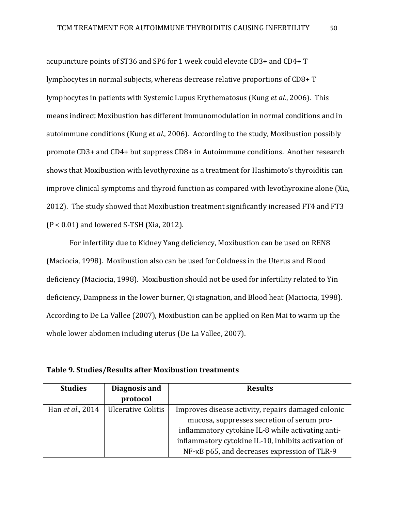acupuncture points of ST36 and SP6 for 1 week could elevate CD3+ and CD4+ T lymphocytes in normal subjects, whereas decrease relative proportions of CD8+ T lymphocytes in patients with Systemic Lupus Erythematosus (Kung *et al*., 2006). This means indirect Moxibustion has different immunomodulation in normal conditions and in autoimmune conditions (Kung *et al*., 2006). According to the study, Moxibustion possibly promote CD3+ and CD4+ but suppress CD8+ in Autoimmune conditions. Another research shows that Moxibustion with levothyroxine as a treatment for Hashimoto's thyroiditis can improve clinical symptoms and thyroid function as compared with levothyroxine alone (Xia, 2012). The study showed that Moxibustion treatment significantly increased FT4 and FT3 (P < 0.01) and lowered S-TSH (Xia, 2012).

For infertility due to Kidney Yang deficiency, Moxibustion can be used on REN8 (Maciocia, 1998). Moxibustion also can be used for Coldness in the Uterus and Blood deficiency (Maciocia, 1998). Moxibustion should not be used for infertility related to Yin deficiency, Dampness in the lower burner, Qi stagnation, and Blood heat (Maciocia, 1998). According to De La Vallee (2007), Moxibustion can be applied on Ren Mai to warm up the whole lower abdomen including uterus (De La Vallee, 2007).

**Table 9. Studies/Results after Moxibustion treatments** 

| <b>Studies</b>   | Diagnosis and      | <b>Results</b>                                      |
|------------------|--------------------|-----------------------------------------------------|
|                  | protocol           |                                                     |
| Han et al., 2014 | Ulcerative Colitis | Improves disease activity, repairs damaged colonic  |
|                  |                    | mucosa, suppresses secretion of serum pro-          |
|                  |                    | inflammatory cytokine IL-8 while activating anti-   |
|                  |                    | inflammatory cytokine IL-10, inhibits activation of |
|                  |                    | NF-KB p65, and decreases expression of TLR-9        |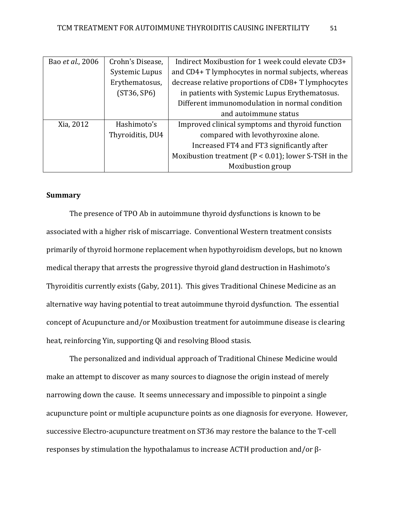| Bao et al., 2006 | Crohn's Disease, | Indirect Moxibustion for 1 week could elevate CD3+       |
|------------------|------------------|----------------------------------------------------------|
|                  | Systemic Lupus   | and CD4+ T lymphocytes in normal subjects, whereas       |
|                  | Erythematosus,   | decrease relative proportions of CD8+ T lymphocytes      |
|                  | (ST36, SP6)      | in patients with Systemic Lupus Erythematosus.           |
|                  |                  | Different immunomodulation in normal condition           |
|                  |                  | and autoimmune status                                    |
| Xia, 2012        | Hashimoto's      | Improved clinical symptoms and thyroid function          |
|                  | Thyroiditis, DU4 | compared with levothyroxine alone.                       |
|                  |                  | Increased FT4 and FT3 significantly after                |
|                  |                  | Moxibustion treatment ( $P < 0.01$ ); lower S-TSH in the |
|                  |                  | Moxibustion group                                        |

## **Summary**

The presence of TPO Ab in autoimmune thyroid dysfunctions is known to be associated with a higher risk of miscarriage. Conventional Western treatment consists primarily of thyroid hormone replacement when hypothyroidism develops, but no known medical therapy that arrests the progressive thyroid gland destruction in Hashimoto's Thyroiditis currently exists (Gaby, 2011). This gives Traditional Chinese Medicine as an alternative way having potential to treat autoimmune thyroid dysfunction. The essential concept of Acupuncture and/or Moxibustion treatment for autoimmune disease is clearing heat, reinforcing Yin, supporting Qi and resolving Blood stasis.

The personalized and individual approach of Traditional Chinese Medicine would make an attempt to discover as many sources to diagnose the origin instead of merely narrowing down the cause. It seems unnecessary and impossible to pinpoint a single acupuncture point or multiple acupuncture points as one diagnosis for everyone. However, successive Electro-acupuncture treatment on ST36 may restore the balance to the T-cell responses by stimulation the hypothalamus to increase ACTH production and/or β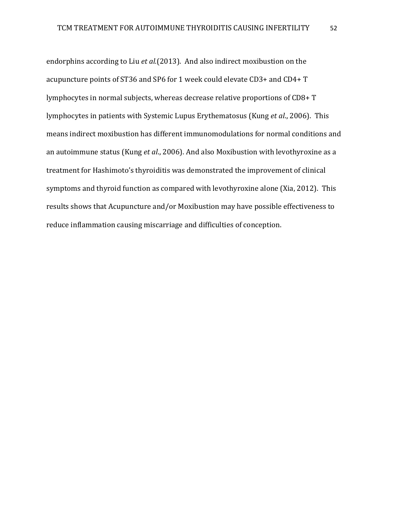endorphins according to Liu *et al.*(2013). And also indirect moxibustion on the acupuncture points of ST36 and SP6 for 1 week could elevate CD3+ and CD4+ T lymphocytes in normal subjects, whereas decrease relative proportions of CD8+ T lymphocytes in patients with Systemic Lupus Erythematosus (Kung *et al*., 2006). This means indirect moxibustion has different immunomodulations for normal conditions and an autoimmune status (Kung *et al*., 2006). And also Moxibustion with levothyroxine as a treatment for Hashimoto's thyroiditis was demonstrated the improvement of clinical symptoms and thyroid function as compared with levothyroxine alone (Xia, 2012). This results shows that Acupuncture and/or Moxibustion may have possible effectiveness to reduce inflammation causing miscarriage and difficulties of conception.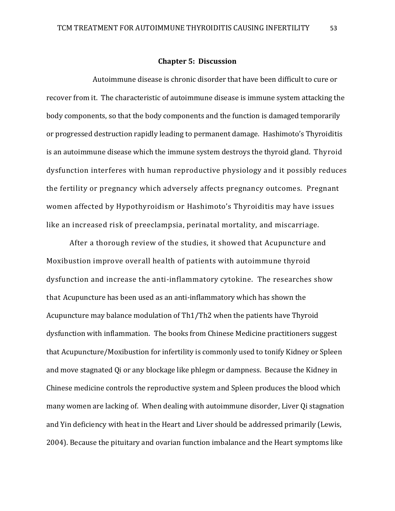#### **Chapter 5: Discussion**

Autoimmune disease is chronic disorder that have been difficult to cure or recover from it. The characteristic of autoimmune disease is immune system attacking the body components, so that the body components and the function is damaged temporarily or progressed destruction rapidly leading to permanent damage. Hashimoto's Thyroiditis is an autoimmune disease which the immune system destroys the thyroid gland. Thyroid dysfunction interferes with human reproductive physiology and it possibly reduces the fertility or pregnancy which adversely affects pregnancy outcomes. Pregnant women affected by Hypothyroidism or Hashimoto's Thyroiditis may have issues like an increased risk of preeclampsia, perinatal mortality, and miscarriage.

After a thorough review of the studies, it showed that Acupuncture and Moxibustion improve overall health of patients with autoimmune thyroid dysfunction and increase the anti-inflammatory cytokine. The researches show that Acupuncture has been used as an anti-inflammatory which has shown the Acupuncture may balance modulation of Th1/Th2 when the patients have Thyroid dysfunction with inflammation. The books from Chinese Medicine practitioners suggest that Acupuncture/Moxibustion for infertility is commonly used to tonify Kidney or Spleen and move stagnated Qi or any blockage like phlegm or dampness. Because the Kidney in Chinese medicine controls the reproductive system and Spleen produces the blood which many women are lacking of. When dealing with autoimmune disorder, Liver Qi stagnation and Yin deficiency with heat in the Heart and Liver should be addressed primarily (Lewis, 2004). Because the pituitary and ovarian function imbalance and the Heart symptoms like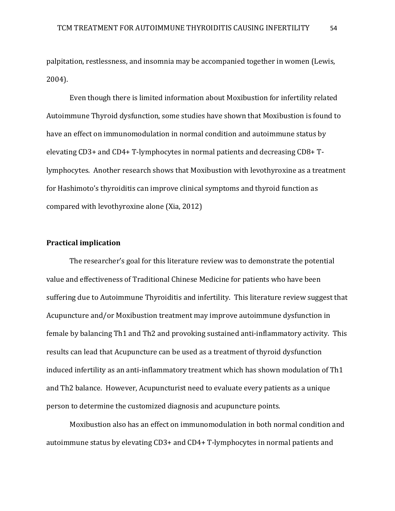palpitation, restlessness, and insomnia may be accompanied together in women (Lewis, 2004).

Even though there is limited information about Moxibustion for infertility related Autoimmune Thyroid dysfunction, some studies have shown that Moxibustion is found to have an effect on immunomodulation in normal condition and autoimmune status by elevating CD3+ and CD4+ T-lymphocytes in normal patients and decreasing CD8+ Tlymphocytes. Another research shows that Moxibustion with levothyroxine as a treatment for Hashimoto's thyroiditis can improve clinical symptoms and thyroid function as compared with levothyroxine alone (Xia, 2012)

## **Practical implication**

The researcher's goal for this literature review was to demonstrate the potential value and effectiveness of Traditional Chinese Medicine for patients who have been suffering due to Autoimmune Thyroiditis and infertility. This literature review suggest that Acupuncture and/or Moxibustion treatment may improve autoimmune dysfunction in female by balancing Th1 and Th2 and provoking sustained anti-inflammatory activity. This results can lead that Acupuncture can be used as a treatment of thyroid dysfunction induced infertility as an anti-inflammatory treatment which has shown modulation of Th1 and Th2 balance. However, Acupuncturist need to evaluate every patients as a unique person to determine the customized diagnosis and acupuncture points.

Moxibustion also has an effect on immunomodulation in both normal condition and autoimmune status by elevating CD3+ and CD4+ T-lymphocytes in normal patients and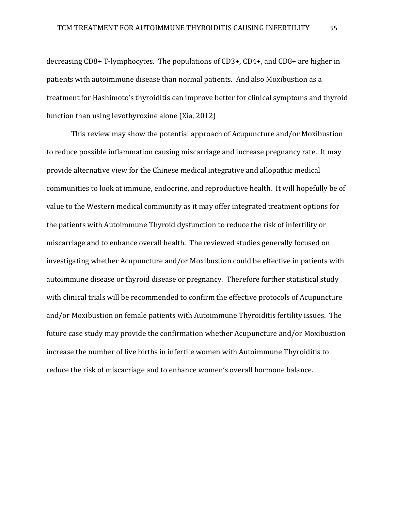decreasing CD8+ T-lymphocytes. The populations of CD3+, CD4+, and CD8+ are higher in patients with autoimmune disease than normal patients. And also Moxibustion as a treatment for Hashimoto's thyroiditis can improve better for clinical symptoms and thyroid function than using levothyroxine alone (Xia, 2012)

This review may show the potential approach of Acupuncture and/or Moxibustion to reduce possible inflammation causing miscarriage and increase pregnancy rate. It may provide alternative view for the Chinese medical integrative and allopathic medical communities to look at immune, endocrine, and reproductive health. It will hopefully be of value to the Western medical community as it may offer integrated treatment options for the patients with Autoimmune Thyroid dysfunction to reduce the risk of infertility or miscarriage and to enhance overall health. The reviewed studies generally focused on investigating whether Acupuncture and/or Moxibustion could be effective in patients with autoimmune disease or thyroid disease or pregnancy. Therefore further statistical study with clinical trials will be recommended to confirm the effective protocols of Acupuncture and/or Moxibustion on female patients with Autoimmune Thyroiditis fertility issues. The future case study may provide the confirmation whether Acupuncture and/or Moxibustion increase the number of live births in infertile women with Autoimmune Thyroiditis to reduce the risk of miscarriage and to enhance women's overall hormone balance.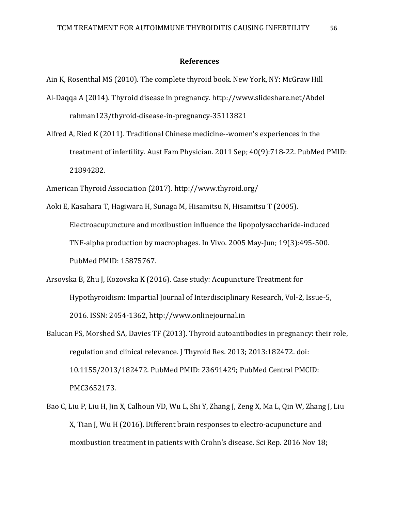#### **References**

Ain K, Rosenthal MS (2010). The complete thyroid book. New York, NY: McGraw Hill

- Al-Daqqa A (2014). Thyroid disease in pregnancy. [http://www.slideshare.net/Abdel](http://www.slideshare.net/Abdelrahman123/thyroid-disease-in-pregnancy-35113821)  [rahman123/thyroid-disease-in-pregnancy-35113821](http://www.slideshare.net/Abdelrahman123/thyroid-disease-in-pregnancy-35113821)
- Alfred A, Ried K (2011). Traditional Chinese [medicine--women](https://www.ncbi.nlm.nih.gov/pubmed/21894282)'s experiences in the [treatment](https://www.ncbi.nlm.nih.gov/pubmed/21894282) of infertility. Aust Fam Physician. 2011 Sep; 40(9):718-22. PubMed PMID: 21894282.

American Thyroid Association (2017). http://www.thyroid.org/

- Aoki E, Kasahara T, Hagiwara H, Sunaga M, Hisamitsu N, Hisamitsu T (2005). Electroacupuncture and moxibustion influence the [lipopolysaccharide-induced](https://www.ncbi.nlm.nih.gov/pubmed/15875767) TNF-alpha production by [macrophages.](https://www.ncbi.nlm.nih.gov/pubmed/15875767) In Vivo. 2005 May-Jun; 19(3):495-500. PubMed PMID: 15875767.
- Arsovska B, Zhu J, Kozovska K (2016). Case study: Acupuncture Treatment for Hypothyroidism: Impartial Journal of Interdisciplinary Research, Vol-2, Issue-5, 2016. ISSN: 2454-1362, http://www.onlinejournal.in
- Balucan FS, Morshed SA, Davies TF (2013). Thyroid [autoantibodies](https://www.ncbi.nlm.nih.gov/pubmed/23691429) in pregnancy: their role, [regulation](https://www.ncbi.nlm.nih.gov/pubmed/23691429) and clinical relevance. J Thyroid Res. 2013; 2013:182472. doi: 10.1155/2013/182472. PubMed PMID: 23691429; PubMed Central PMCID: PMC3652173.
- Bao C, Liu P, Liu H, Jin X, Calhoun VD, Wu L, Shi Y, Zhang J, Zeng X, Ma L, Qin W, Zhang J, Liu X, Tian J, Wu H (2016). Different brain responses to [electro-acupuncture](https://www.ncbi.nlm.nih.gov/pubmed/27857211) and [moxibustion](https://www.ncbi.nlm.nih.gov/pubmed/27857211) treatment in patients with Crohn's disease. Sci Rep. 2016 Nov 18;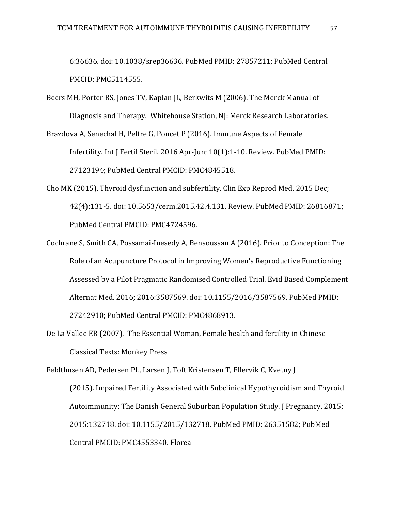6:36636. doi: 10.1038/srep36636. PubMed PMID: 27857211; PubMed Central PMCID: PMC5114555.

- Beers MH, Porter RS, Jones TV, Kaplan JL, Berkwits M (2006). The Merck Manual of Diagnosis and Therapy. Whitehouse Station, NJ: Merck Research Laboratories.
- Brazdova A, Senechal H, Peltre G, Poncet P (2016). [Immune](https://www.ncbi.nlm.nih.gov/pubmed/27123194) Aspects of Female [Infertility.](https://www.ncbi.nlm.nih.gov/pubmed/27123194) Int J Fertil Steril. 2016 Apr-Jun; 10(1):1-10. Review. PubMed PMID: 27123194; PubMed Central PMCID: PMC4845518.
- Cho MK (2015). Thyroid [dysfunction](https://www.ncbi.nlm.nih.gov/pubmed/26816871) and subfertility. Clin Exp Reprod Med. 2015 Dec; 42(4):131-5. doi: 10.5653/cerm.2015.42.4.131. Review. PubMed PMID: 26816871; PubMed Central PMCID: PMC4724596.
- Cochrane S, Smith CA, Possamai-Inesedy A, Bensoussan A (2016). Prior to [Conception:](https://www.ncbi.nlm.nih.gov/pubmed/27242910) The Role of an Acupuncture Protocol in Improving Women's [Reproductive](https://www.ncbi.nlm.nih.gov/pubmed/27242910) Functioning Assessed by a Pilot Pragmatic [Randomised](https://www.ncbi.nlm.nih.gov/pubmed/27242910) Controlled Trial. Evid Based Complement Alternat Med. 2016; 2016:3587569. doi: 10.1155/2016/3587569. PubMed PMID: 27242910; PubMed Central PMCID: PMC4868913.
- De La Vallee ER (2007). The Essential Woman, Female health and fertility in Chinese Classical Texts: Monkey Press

Feldthusen AD, Pedersen PL, Larsen J, Toft Kristensen T, Ellervik C, Kvetny J (2015). Impaired Fertility Associated with Subclinical [Hypothyroidism](https://www.ncbi.nlm.nih.gov/pubmed/26351582) and Thyroid [Autoimmunity:](https://www.ncbi.nlm.nih.gov/pubmed/26351582) The Danish General Suburban Population Study. J Pregnancy. 2015; 2015:132718. doi: 10.1155/2015/132718. PubMed PMID: 26351582; PubMed Central PMCID: PMC4553340. Florea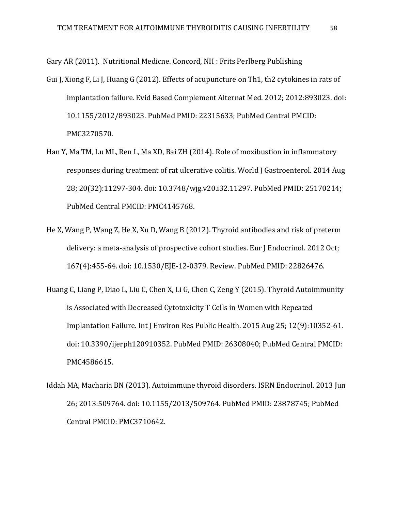Gary AR (2011). Nutritional Medicne. Concord, NH : Frits Perlberg Publishing

- Gui J, Xiong F, Li J, Huang G (2012). Effects of [acupuncture](https://www.ncbi.nlm.nih.gov/pubmed/22315633) on Th1, th2 cytokines in rats of [implantation](https://www.ncbi.nlm.nih.gov/pubmed/22315633) failure. Evid Based Complement Alternat Med. 2012; 2012:893023. doi: 10.1155/2012/893023. PubMed PMID: 22315633; PubMed Central PMCID: PMC3270570.
- Han Y, Ma TM, Lu ML, Ren L, Ma XD, Bai ZH (2014). Role of moxibustion in [inflammatory](https://www.ncbi.nlm.nih.gov/pubmed/25170214) [responses](https://www.ncbi.nlm.nih.gov/pubmed/25170214) during treatment of rat ulcerative colitis. World J Gastroenterol. 2014 Aug 28; 20(32):11297-304. doi: 10.3748/wjg.v20.i32.11297. PubMed PMID: 25170214; PubMed Central PMCID: PMC4145768.
- He X, Wang P, Wang Z, He X, Xu D, Wang B (2012). Thyroid [antibodies](https://www.ncbi.nlm.nih.gov/pubmed/22826476) and risk of preterm delivery: a [meta-analysis](https://www.ncbi.nlm.nih.gov/pubmed/22826476) of prospective cohort studies. Eur J Endocrinol. 2012 Oct; 167(4):455-64. doi: 10.1530/EJE-12-0379. Review. PubMed PMID: 22826476.
- Huang C, Liang P, Diao L, Liu C, Chen X, Li G, Chen C, Zeng Y (2015). Thyroid [Autoimmunity](https://www.ncbi.nlm.nih.gov/pubmed/26308040) is Associated with Decreased [Cytotoxicity](https://www.ncbi.nlm.nih.gov/pubmed/26308040) T Cells in Women with Repeated [Implantation](https://www.ncbi.nlm.nih.gov/pubmed/26308040) Failure. Int J Environ Res Public Health. 2015 Aug 25; 12(9):10352-61. doi: 10.3390/ijerph120910352. PubMed PMID: 26308040; PubMed Central PMCID: PMC4586615.
- Iddah MA, Macharia BN (2013). [Autoimmune](https://www.ncbi.nlm.nih.gov/pubmed/23878745) thyroid disorders. ISRN Endocrinol. 2013 Jun 26; 2013:509764. doi: 10.1155/2013/509764. PubMed PMID: 23878745; PubMed Central PMCID: PMC3710642.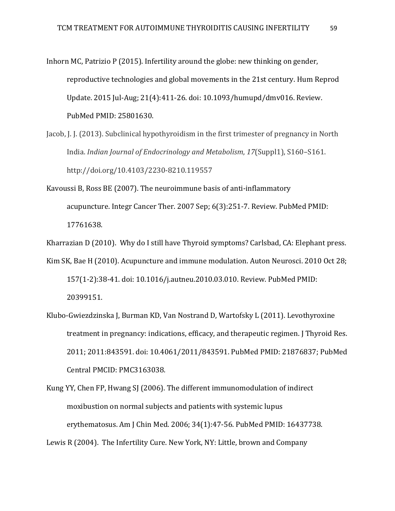- Inhorn MC, Patrizio P (2015). [Infertility](https://www.ncbi.nlm.nih.gov/pubmed/25801630) around the globe: new thinking on gender, [reproductive](https://www.ncbi.nlm.nih.gov/pubmed/25801630) technologies and global movements in the 21st century. Hum Reprod Update. 2015 Jul-Aug; 21(4):411-26. doi: 10.1093/humupd/dmv016. Review. PubMed PMID: 25801630.
- Jacob, J. J. (2013). Subclinical hypothyroidism in the first trimester of pregnancy in North India. *Indian Journal of Endocrinology and Metabolism*, *17*(Suppl1), S160–S161. http://doi.org/10.4103/2230-8210.119557
- Kavoussi B, Ross BE (2007). The neuroimmune basis of [anti-inflammatory](https://www.ncbi.nlm.nih.gov/pubmed/17761638) [acupuncture.](https://www.ncbi.nlm.nih.gov/pubmed/17761638) Integr Cancer Ther. 2007 Sep; 6(3):251-7. Review. PubMed PMID: 17761638.

Kharrazian D (2010). Why do I still have Thyroid symptoms? Carlsbad, CA: Elephant press.

- Kim SK, Bae H (2010). [Acupuncture](https://www.ncbi.nlm.nih.gov/pubmed/20399151) and immune modulation. Auton Neurosci. 2010 Oct 28; 157(1-2):38-41. doi: 10.1016/j.autneu.2010.03.010. Review. PubMed PMID: 20399151.
- Klubo-Gwiezdzinska J, Burman KD, Van Nostrand D, Wartofsky L (2011). [Levothyroxine](https://www.ncbi.nlm.nih.gov/pubmed/21876837) treatment in pregnancy: [indications,](https://www.ncbi.nlm.nih.gov/pubmed/21876837) efficacy, and therapeutic regimen. J Thyroid Res. 2011; 2011:843591. doi: 10.4061/2011/843591. PubMed PMID: 21876837; PubMed Central PMCID: PMC3163038.
- Kung YY, Chen FP, Hwang SJ (2006). The different [immunomodulation](https://www.ncbi.nlm.nih.gov/pubmed/16437738) of indirect [moxibustion](https://www.ncbi.nlm.nih.gov/pubmed/16437738) on normal subjects and patients with systemic lupus [erythematosus.](https://www.ncbi.nlm.nih.gov/pubmed/16437738) Am J Chin Med. 2006; 34(1):47-56. PubMed PMID: 16437738. Lewis R (2004). The Infertility Cure. New York, NY: Little, brown and Company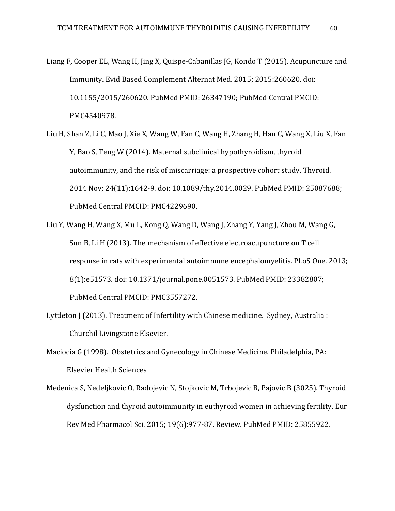Liang F, Cooper EL, Wang H, Jing X, Quispe-Cabanillas JG, Kondo T (2015). [Acupuncture](https://www.ncbi.nlm.nih.gov/pubmed/26347190) and [Immunity.](https://www.ncbi.nlm.nih.gov/pubmed/26347190) Evid Based Complement Alternat Med. 2015; 2015:260620. doi: 10.1155/2015/260620. PubMed PMID: 26347190; PubMed Central PMCID: PMC4540978.

Liu H, Shan Z, Li C, Mao J, Xie X, Wang W, Fan C, Wang H, Zhang H, Han C, Wang X, Liu X, Fan Y, Bao S, Teng W (2014). Maternal subclinical [hypothyroidism,](https://www.ncbi.nlm.nih.gov/pubmed/25087688) thyroid [autoimmunity,](https://www.ncbi.nlm.nih.gov/pubmed/25087688) and the risk of miscarriage: a prospective cohort study. Thyroid. 2014 Nov; 24(11):1642-9. doi: 10.1089/thy.2014.0029. PubMed PMID: 25087688; PubMed Central PMCID: PMC4229690.

Liu Y, Wang H, Wang X, Mu L, Kong Q, Wang D, Wang J, Zhang Y, Yang J, Zhou M, Wang G, Sun B, Li H (2013). The mechanism of effective [electroacupuncture](https://www.ncbi.nlm.nih.gov/pubmed/23382807) on T cell response in rats with experimental autoimmune [encephalomyelitis.](https://www.ncbi.nlm.nih.gov/pubmed/23382807) PLoS One. 2013; 8(1):e51573. doi: 10.1371/journal.pone.0051573. PubMed PMID: 23382807; PubMed Central PMCID: PMC3557272.

Lyttleton J (2013). Treatment of Infertility with Chinese medicine. Sydney, Australia : Churchil Livingstone Elsevier.

Maciocia G (1998). Obstetrics and Gynecology in Chinese Medicine. Philadelphia, PA: Elsevier Health Sciences

Medenica S, Nedeljkovic O, Radojevic N, Stojkovic M, Trbojevic B, Pajovic B (3025). [Thyroid](https://www.ncbi.nlm.nih.gov/pubmed/25855922) dysfunction and thyroid [autoimmunity](https://www.ncbi.nlm.nih.gov/pubmed/25855922) in euthyroid women in achieving fertility. Eur Rev Med Pharmacol Sci. 2015; 19(6):977-87. Review. PubMed PMID: 25855922.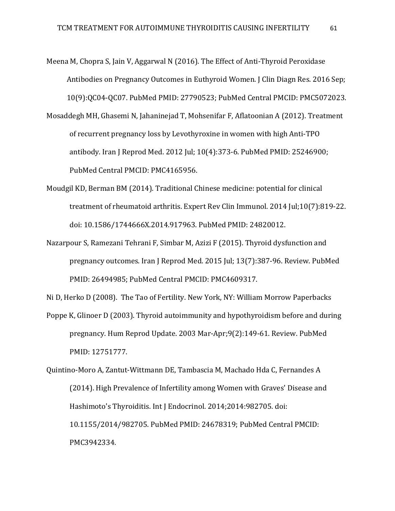- Meena M, Chopra S, Jain V, Aggarwal N (2016). The Effect of [Anti-Thyroid](https://www.ncbi.nlm.nih.gov/pubmed/27790523) Peroxidase [Antibodies](https://www.ncbi.nlm.nih.gov/pubmed/27790523) on Pregnancy Outcomes in Euthyroid Women. J Clin Diagn Res. 2016 Sep; 10(9):QC04-QC07. PubMed PMID: 27790523; PubMed Central PMCID: PMC5072023.
- Mosaddegh MH, Ghasemi N, Jahaninejad T, Mohsenifar F, Aflatoonian A (2012). [Treatment](https://www.ncbi.nlm.nih.gov/pubmed/25246900) of recurrent pregnancy loss by [Levothyroxine](https://www.ncbi.nlm.nih.gov/pubmed/25246900) in women with high Anti-TPO [antibody.](https://www.ncbi.nlm.nih.gov/pubmed/25246900) Iran J Reprod Med. 2012 Jul; 10(4):373-6. PubMed PMID: 25246900; PubMed Central PMCID: PMC4165956.
- Moudgil KD, Berman BM (2014). [Traditional](https://www.ncbi.nlm.nih.gov/pubmed/24820012) Chinese medicine: potential for clinical treatment of [rheumatoid](https://www.ncbi.nlm.nih.gov/pubmed/24820012) arthritis. Expert Rev Clin Immunol. 2014 Jul;10(7):819-22. doi: 10.1586/1744666X.2014.917963. PubMed PMID: 24820012.
- Nazarpour S, Ramezani Tehrani F, Simbar M, Azizi F (2015). Thyroid [dysfunction](https://www.ncbi.nlm.nih.gov/pubmed/26494985) and [pregnancy](https://www.ncbi.nlm.nih.gov/pubmed/26494985) outcomes. Iran J Reprod Med. 2015 Jul; 13(7):387-96. Review. PubMed PMID: 26494985; PubMed Central PMCID: PMC4609317.

Ni D, Herko D (2008). The Tao of Fertility. New York, NY: William Morrow Paperbacks

Poppe K, Glinoer D (2003). Thyroid autoimmunity and [hypothyroidism](https://www.ncbi.nlm.nih.gov/pubmed/12751777) before and during [pregnancy.](https://www.ncbi.nlm.nih.gov/pubmed/12751777) Hum Reprod Update. 2003 Mar-Apr;9(2):149-61. Review. PubMed PMID: 12751777.

Quintino-Moro A, Zantut-Wittmann DE, Tambascia M, Machado Hda C, Fernandes A (2014). High [Prevalence](https://www.ncbi.nlm.nih.gov/pubmed/24678319) of Infertility among Women with Graves' Disease and Hashimoto's [Thyroiditis.](https://www.ncbi.nlm.nih.gov/pubmed/24678319) Int J Endocrinol. 2014;2014:982705. doi: 10.1155/2014/982705. PubMed PMID: 24678319; PubMed Central PMCID: PMC3942334.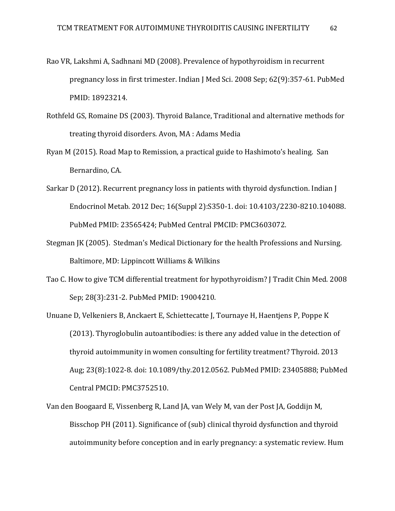- Rao VR, Lakshmi A, Sadhnani MD (2008). Prevalence of [hypothyroidism](https://www.ncbi.nlm.nih.gov/pubmed/18923214) in recurrent [pregnancy](https://www.ncbi.nlm.nih.gov/pubmed/18923214) loss in first trimester. Indian J Med Sci. 2008 Sep; 62(9):357-61. PubMed PMID: 18923214.
- Rothfeld GS, Romaine DS (2003). Thyroid Balance, Traditional and alternative methods for treating thyroid disorders. Avon, MA : Adams Media
- Ryan M (2015). Road Map to Remission, a practical guide to Hashimoto's healing. San Bernardino, CA.
- Sarkar D (2012). Recurrent pregnancy loss in patients with thyroid [dysfunction.](https://www.ncbi.nlm.nih.gov/pubmed/23565424) Indian J Endocrinol Metab. 2012 Dec; 16(Suppl 2):S350-1. doi: 10.4103/2230-8210.104088. PubMed PMID: 23565424; PubMed Central PMCID: PMC3603072.
- Stegman JK (2005). Stedman's Medical Dictionary for the health Professions and Nursing. Baltimore, MD: Lippincott Williams & Wilkins
- Tao C. How to give TCM differential treatment for [hypothyroidism?](https://www.ncbi.nlm.nih.gov/pubmed/19004210) J Tradit Chin Med. 2008 Sep; 28(3):231-2. PubMed PMID: 19004210.
- Unuane D, Velkeniers B, Anckaert E, Schiettecatte J, Tournaye H, Haentjens P, Poppe K (2013). Thyroglobulin [autoantibodies:](https://www.ncbi.nlm.nih.gov/pubmed/23405888) is there any added value in the detection of thyroid [autoimmunity](https://www.ncbi.nlm.nih.gov/pubmed/23405888) in women consulting for fertility treatment? Thyroid. 2013 Aug; 23(8):1022-8. doi: 10.1089/thy.2012.0562. PubMed PMID: 23405888; PubMed Central PMCID: PMC3752510.
- Van den Boogaard E, Vissenberg R, Land JA, van Wely M, van der Post JA, Goddijn M, Bisschop PH (2011). [Significance](https://www.ncbi.nlm.nih.gov/pubmed/21622978) of (sub) clinical thyroid dysfunction and thyroid [autoimmunity](https://www.ncbi.nlm.nih.gov/pubmed/21622978) before conception and in early pregnancy: a systematic review. Hum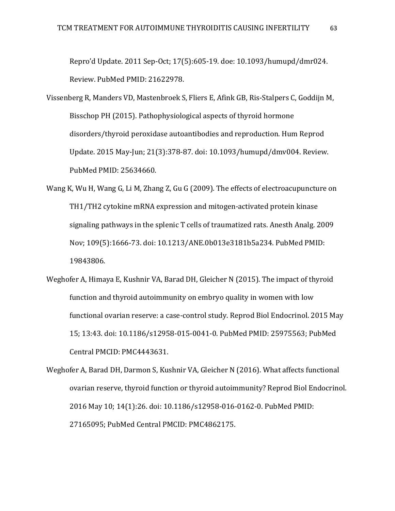Repro'd Update. 2011 Sep-Oct; 17(5):605-19. doe: 10.1093/humupd/dmr024. Review. PubMed PMID: 21622978.

- Vissenberg R, Manders VD, Mastenbroek S, Fliers E, Afink GB, Ris-Stalpers C, Goddijn M, Bisschop PH (2015). [Pathophysiological](https://www.ncbi.nlm.nih.gov/pubmed/25634660) aspects of thyroid hormone [disorders/thyroid](https://www.ncbi.nlm.nih.gov/pubmed/25634660) peroxidase autoantibodies and reproduction. Hum Reprod Update. 2015 May-Jun; 21(3):378-87. doi: 10.1093/humupd/dmv004. Review. PubMed PMID: 25634660.
- Wang K, Wu H, Wang G, Li M, Zhang Z, Gu G (2009). The effects of [electroacupuncture](https://www.ncbi.nlm.nih.gov/pubmed/19843806) on TH1/TH2 cytokine mRNA expression and [mitogen-activated](https://www.ncbi.nlm.nih.gov/pubmed/19843806) protein kinase signaling pathways in the splenic T cells of [traumatized](https://www.ncbi.nlm.nih.gov/pubmed/19843806) rats. Anesth Analg. 2009 Nov; 109(5):1666-73. doi: 10.1213/ANE.0b013e3181b5a234. PubMed PMID: 19843806.
- Weghofer A, Himaya E, Kushnir VA, Barad DH, Gleicher N (2015). The impact of [thyroid](https://www.ncbi.nlm.nih.gov/pubmed/25975563) function and thyroid [autoimmunity](https://www.ncbi.nlm.nih.gov/pubmed/25975563) on embryo quality in women with low functional ovarian reserve: a [case-control](https://www.ncbi.nlm.nih.gov/pubmed/25975563) study. Reprod Biol Endocrinol. 2015 May 15; 13:43. doi: 10.1186/s12958-015-0041-0. PubMed PMID: 25975563; PubMed Central PMCID: PMC4443631.
- Weghofer A, Barad DH, Darmon S, Kushnir VA, Gleicher N (2016). What affects [functional](https://www.ncbi.nlm.nih.gov/pubmed/27165095) ovarian reserve, thyroid function or thyroid [autoimmunity?](https://www.ncbi.nlm.nih.gov/pubmed/27165095) Reprod Biol Endocrinol. 2016 May 10; 14(1):26. doi: 10.1186/s12958-016-0162-0. PubMed PMID: 27165095; PubMed Central PMCID: PMC4862175.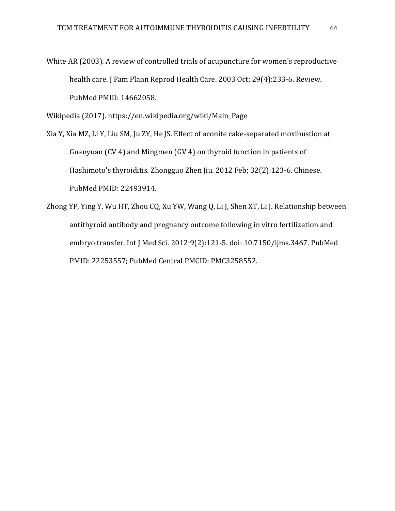White AR (2003). A review of controlled trials of acupuncture for women's [reproductive](https://www.ncbi.nlm.nih.gov/pubmed/14662058) [health](https://www.ncbi.nlm.nih.gov/pubmed/14662058) care. J Fam Plann Reprod Health Care. 2003 Oct; 29(4):233-6. Review. PubMed PMID: 14662058.

Wikipedia (2017). [https://en.wikipedia.org/wiki/Main\\_Page](https://en.wikipedia.org/wiki/Main_Page)

Xia Y, Xia MZ, Li Y, Liu SM, Ju ZY, He JS. Effect of aconite [cake-separated](https://www.ncbi.nlm.nih.gov/pubmed/22493914) moxibustion at [Guanyuan](https://www.ncbi.nlm.nih.gov/pubmed/22493914) (CV 4) and Mingmen (GV 4) on thyroid function in patients of Hashimoto's [thyroiditis.](https://www.ncbi.nlm.nih.gov/pubmed/22493914) Zhongguo Zhen Jiu. 2012 Feb; 32(2):123-6. Chinese. PubMed PMID: 22493914.

Zhong YP, Ying Y, Wu HT, Zhou CQ, Xu YW, Wang Q, Li J, Shen XT, Li J. [Relationship](https://www.ncbi.nlm.nih.gov/pubmed/22253557) between antithyroid antibody and pregnancy outcome following in vitro [fertilization](https://www.ncbi.nlm.nih.gov/pubmed/22253557) and embryo [transfer.](https://www.ncbi.nlm.nih.gov/pubmed/22253557) Int J Med Sci. 2012;9(2):121-5. doi: 10.7150/ijms.3467. PubMed PMID: 22253557; PubMed Central PMCID: PMC3258552.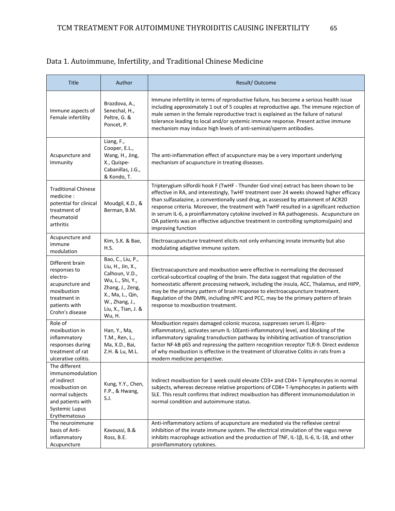## Data 1. Autoimmune, Infertility, and Traditional Chinese Medicine

| <b>Title</b>                                                                                                                                         | Author                                                                                                                                                                  | Result/Outcome                                                                                                                                                                                                                                                                                                                                                                                                                                                                                                                                                          |
|------------------------------------------------------------------------------------------------------------------------------------------------------|-------------------------------------------------------------------------------------------------------------------------------------------------------------------------|-------------------------------------------------------------------------------------------------------------------------------------------------------------------------------------------------------------------------------------------------------------------------------------------------------------------------------------------------------------------------------------------------------------------------------------------------------------------------------------------------------------------------------------------------------------------------|
| Immune aspects of<br>Female infertility                                                                                                              | Brazdova, A.,<br>Senechal, H.,<br>Peltre, G. &<br>Poncet, P.                                                                                                            | Immune infertility in terms of reproductive failure, has become a serious health issue<br>including approximately 1 out of 5 couples at reproductive age. The immune rejection of<br>male semen in the female reproductive tract is explained as the failure of natural<br>tolerance leading to local and/or systemic immune response. Present active immune<br>mechanism may induce high levels of anti-seminal/sperm antibodies.                                                                                                                                      |
| Acupuncture and<br>Immunity                                                                                                                          | Liang, F.,<br>Cooper, E.L.,<br>Wang, H., Jing,<br>X., Quispe-<br>Cabanillas, J.G.,<br>& Kondo, T.                                                                       | The anti-inflammation effect of acupuncture may be a very important underlying<br>mechanism of acupuncture in treating diseases.                                                                                                                                                                                                                                                                                                                                                                                                                                        |
| <b>Traditional Chinese</b><br>medicine:<br>potential for clinical<br>treatment of<br>rheumatoid<br>arthritis                                         | Moudgil, K.D., &<br>Berman, B.M.                                                                                                                                        | Tripterygium silfordii hook F (TwHF - Thunder God vine) extract has been shown to be<br>effective in RA, and interestingly, TwHF treatment over 24 weeks showed higher efficacy<br>than sulfasalazine, a conventionally used drug, as assessed by attainment of ACR20<br>response criteria. Moreover, the treatment with TwHF resulted in a significant reduction<br>in serum IL-6, a proinflammatory cytokine involved in RA pathogenesis. Acupuncture on<br>OA patients was an effective adjunctive treatment in controlling symptoms(pain) and<br>improving function |
| Acupuncture and<br>immune<br>modulation                                                                                                              | Kim, S.K. & Bae,<br>H.S.                                                                                                                                                | Electroacupuncture treatment elicits not only enhancing innate immunity but also<br>modulating adaptive immune system.                                                                                                                                                                                                                                                                                                                                                                                                                                                  |
| Different brain<br>responses to<br>electro-<br>acupuncture and<br>moxibustion<br>treatment in<br>patients with<br>Crohn's disease                    | Bao, C., Liu, P.,<br>Liu, H., Jin, X.,<br>Calhoun, V.D.,<br>Wu, L., Shi, Y.,<br>Zhang, J., Zeng,<br>X., Ma, L., Qin,<br>W., Zhang, J.,<br>Liu, X., Tian, J. &<br>Wu, H. | Electroacupuncture and moxibustion were effective in normalizing the decreased<br>cortical-subcortical coupling of the brain. The data suggest that regulation of the<br>homeostatic afferent processing network, including the insula, ACC, Thalamus, and HIPP,<br>may be the primary pattern of brain response to electroacupuncture treatment.<br>Regulation of the DMN, including nPFC and PCC, may be the primary pattern of brain<br>response to moxibustion treatment.                                                                                           |
| Role of<br>moxibustion in<br>inflammatory<br>responses during<br>treatment of rat<br>ulcerative colitis.                                             | Han, Y., Ma,<br>T.M., Ren, L.,<br>Ma, X.D., Bai,<br>Z.H. & Lu, M.L.                                                                                                     | Moxibustion repairs damaged colonic mucosa, suppresses serum IL-8(pro-<br>inflammatory), activates serum IL-10(anti-inflammatory) level, and blocking of the<br>inflammatory signaling transduction pathway by inhibiting activation of transcription<br>factor NF-kB p65 and repressing the pattern recognition receptor TLR-9. Direct evidence<br>of why moxibustion is effective in the treatment of Ulcerative Colitis in rats from a<br>modern medicine perspective.                                                                                               |
| The different<br>immunomodulation<br>of indirect<br>moxibustion on<br>normal subjects<br>and patients with<br><b>Systemic Lupus</b><br>Erythematosus | Kung, Y.Y., Chen,<br>F.P., & Hwang,<br>S.J.                                                                                                                             | Indirect moxibustion for 1 week could elevate CD3+ and CD4+ T-lymphocytes in normal<br>subjects, whereas decrease relative proportions of CD8+ T-lymphocytes in patients with<br>SLE. This result confirms that indirect moxibustion has different immunomodulation in<br>normal condition and autoimmune status.                                                                                                                                                                                                                                                       |
| The neuroimmune<br>basis of Anti-<br>inflammatory<br>Acupuncture                                                                                     | Kavoussi, B.&<br>Ross, B.E.                                                                                                                                             | Anti-inflammatory actions of acupuncture are mediated via the reflexive central<br>inhibition of the innate immune system. The electrical stimulation of the vagus nerve<br>inhibits macrophage activation and the production of TNF, IL-1B, IL-6, IL-18, and other<br>proinflammatory cytokines.                                                                                                                                                                                                                                                                       |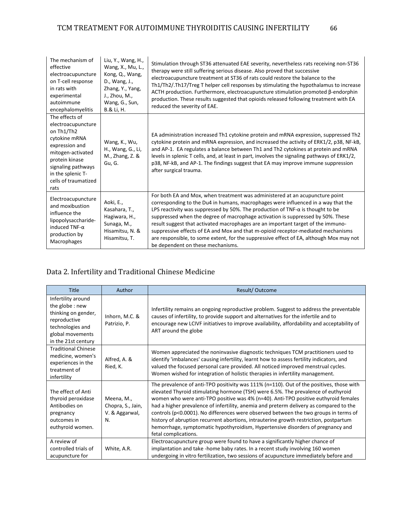| The mechanism of<br>effective<br>electroacupuncture<br>on T-cell response<br>in rats with<br>experimental<br>autoimmune<br>encephalomyelitis                                                            | Liu, Y., Wang, H.,<br>Wang, X., Mu, L.,<br>Kong, Q., Wang,<br>D., Wang, J.,<br>Zhang, Y., Yang,<br>J., Zhou, M.,<br>Wang, G., Sun,<br>B.& Li, H. | Stimulation through ST36 attenuated EAE severity, nevertheless rats receiving non-ST36<br>therapy were still suffering serious disease. Also proved that successive<br>electroacupuncture treatment at ST36 of rats could restore the balance to the<br>Th1/Th2/.Th17/Treg T helper cell responses by stimulating the hypothalamus to increase<br>ACTH production. Furthermore, electroacupuncture stimulation promoted $\beta$ -endorphin<br>production. These results suggested that opioids released following treatment with EA<br>reduced the severity of EAE.                                                                                    |
|---------------------------------------------------------------------------------------------------------------------------------------------------------------------------------------------------------|--------------------------------------------------------------------------------------------------------------------------------------------------|--------------------------------------------------------------------------------------------------------------------------------------------------------------------------------------------------------------------------------------------------------------------------------------------------------------------------------------------------------------------------------------------------------------------------------------------------------------------------------------------------------------------------------------------------------------------------------------------------------------------------------------------------------|
| The effects of<br>electroacupuncture<br>on Th1/Th2<br>cytokine mRNA<br>expression and<br>mitogen-activated<br>protein kinase<br>signaling pathways<br>in the splenic T-<br>cells of traumatized<br>rats | Wang, K., Wu,<br>H., Wang, G., Li,<br>M., Zhang, Z. &<br>Gu, G.                                                                                  | EA administration increased Th1 cytokine protein and mRNA expression, suppressed Th2<br>cytokine protein and mRNA expression, and increased the activity of ERK1/2, p38, NF-kB,<br>and AP-1. EA regulates a balance between Th1 and Th2 cytokines at protein and mRNA<br>levels in splenic T cells, and, at least in part, involves the signaling pathways of ERK1/2,<br>p38, NF-kB, and AP-1. The findings suggest that EA may improve immune suppression<br>after surgical trauma.                                                                                                                                                                   |
| Electroacupuncture<br>and moxibustion<br>influence the<br>lipopolysaccharide-<br>induced $TNF-\alpha$<br>production by<br>Macrophages                                                                   | Aoki, E.,<br>Kasahara, T.,<br>Hagiwara, H.,<br>Sunaga, M.,<br>Hisamitsu, N. &<br>Hisamitsu, T.                                                   | For both EA and Mox, when treatment was administered at an acupuncture point<br>corresponding to the Du4 in humans, macrophages were influenced in a way that the<br>LPS reactivity was suppressed by 50%. The production of TNF- $\alpha$ is thought to be<br>suppressed when the degree of macrophage activation is suppressed by 50%. These<br>result suggest that activated macrophages are an important target of the immuno-<br>suppressive effects of EA and Mox and that m-opioid receptor-mediated mechanisms<br>are responsible, to some extent, for the suppressive effect of EA, although Mox may not<br>be dependent on these mechanisms. |

# Data 2. Infertility and Traditional Chinese Medicine

| <b>Title</b>                                                                                                                                | Author                                                  | Result/Outcome                                                                                                                                                                                                                                                                                                                                                                                                                                                                                                                                                                                                                                                 |
|---------------------------------------------------------------------------------------------------------------------------------------------|---------------------------------------------------------|----------------------------------------------------------------------------------------------------------------------------------------------------------------------------------------------------------------------------------------------------------------------------------------------------------------------------------------------------------------------------------------------------------------------------------------------------------------------------------------------------------------------------------------------------------------------------------------------------------------------------------------------------------------|
| Infertility around<br>the globe : new<br>thinking on gender,<br>reproductive<br>technologies and<br>global movements<br>in the 21st century | Inhorn, M.C. &<br>Patrizio, P.                          | Infertility remains an ongoing reproductive problem. Suggest to address the preventable<br>causes of infertility, to provide support and alternatives for the infertile and to<br>encourage new LCIVF initiatives to improve availability, affordability and acceptability of<br>ART around the globe                                                                                                                                                                                                                                                                                                                                                          |
| <b>Traditional Chinese</b><br>medicine, women's<br>experiences in the<br>treatment of<br>infertility                                        | Alfred, A. &<br>Ried, K.                                | Women appreciated the noninvasive diagnostic techniques TCM practitioners used to<br>identify 'imbalances' causing infertility, learnt how to assess fertility indicators, and<br>valued the focused personal care provided. All noticed improved menstrual cycles.<br>Women wished for integration of holistic therapies in infertility management.                                                                                                                                                                                                                                                                                                           |
| The effect of Anti<br>thyroid peroxidase<br>Antibodies on<br>pregnancy<br>outcomes in<br>euthyroid women.                                   | Meena, M.,<br>Chopra, S., Jain,<br>V. & Aggarwal,<br>N. | The prevalence of anti-TPO positivity was 111% (n=110). Out of the positives, those with<br>elevated Thyroid stimulating hormone (TSH) were 6.5%. The prevalence of euthyroid<br>women who were anti-TPO positive was 4% (n=40). Anti-TPO positive euthyroid females<br>had a higher prevalence of infertility, anemia and preterm delivery as compared to the<br>controls ( $p<0.0001$ ). No differences were observed between the two groups in terms of<br>history of abruption recurrent abortions, intrauterine growth restriction, postpartum<br>hemorrhage, symptomatic hypothyroidism, Hypertensive disorders of pregnancy and<br>fetal complications. |
| A review of<br>controlled trials of<br>acupuncture for                                                                                      | White, A.R.                                             | Electroacupuncture group were found to have a significantly higher chance of<br>implantation and take-home baby rates. In a recent study involving 160 women<br>undergoing in vitro fertilization, two sessions of acupuncture immediately before and                                                                                                                                                                                                                                                                                                                                                                                                          |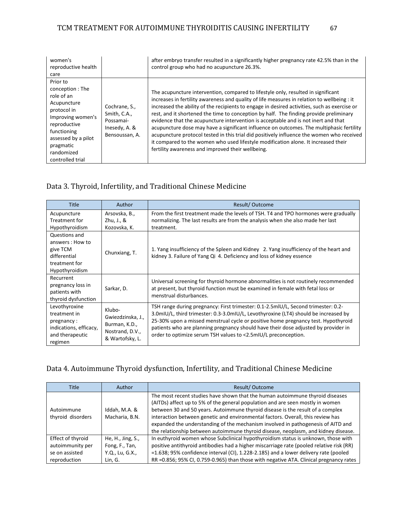| women's<br>reproductive health<br>care                                                                                                                                                            |                                                                               | after embryo transfer resulted in a significantly higher pregnancy rate 42.5% than in the<br>control group who had no acupuncture 26.3%.                                                                                                                                                                                                                                                                                                                                                                                                                                                                                                                                                                                                                                                             |
|---------------------------------------------------------------------------------------------------------------------------------------------------------------------------------------------------|-------------------------------------------------------------------------------|------------------------------------------------------------------------------------------------------------------------------------------------------------------------------------------------------------------------------------------------------------------------------------------------------------------------------------------------------------------------------------------------------------------------------------------------------------------------------------------------------------------------------------------------------------------------------------------------------------------------------------------------------------------------------------------------------------------------------------------------------------------------------------------------------|
| Prior to<br>conception: The<br>role of an<br>Acupuncture<br>protocol in<br>Improving women's<br>reproductive<br>functioning<br>assessed by a pilot<br>pragmatic<br>randomized<br>controlled trial | Cochrane, S.,<br>Smith, C.A.,<br>Possamai-<br>Inesedy, A. &<br>Bensoussan, A. | The acupuncture intervention, compared to lifestyle only, resulted in significant<br>increases in fertility awareness and quality of life measures in relation to wellbeing : it<br>increased the ability of the recipients to engage in desired activities, such as exercise or<br>rest, and it shortened the time to conception by half. The finding provide preliminary<br>evidence that the acupuncture intervention is acceptable and is not inert and that<br>acupuncture dose may have a significant influence on outcomes. The multiphasic fertility<br>acupuncture protocol tested in this trial did positively influence the women who received<br>it compared to the women who used lifestyle modification alone. It increased their<br>fertility awareness and improved their wellbeing. |

# Data 3. Thyroid, Infertility, and Traditional Chinese Medicine

| <b>Title</b>                                                                                        | Author                                                                             | Result/Outcome                                                                                                                                                                                                                                                                                                                                                                                                        |
|-----------------------------------------------------------------------------------------------------|------------------------------------------------------------------------------------|-----------------------------------------------------------------------------------------------------------------------------------------------------------------------------------------------------------------------------------------------------------------------------------------------------------------------------------------------------------------------------------------------------------------------|
| Acupuncture<br>Treatment for                                                                        | Arsovska, B.,                                                                      | From the first treatment made the levels of TSH. T4 and TPO hormones were gradually                                                                                                                                                                                                                                                                                                                                   |
| Hypothyroidism                                                                                      | Zhu, J., &<br>Kozovska, K.                                                         | normalizing. The last results are from the analysis when she also made her last<br>treatment.                                                                                                                                                                                                                                                                                                                         |
| Questions and<br>answers: How to<br>give TCM<br>differential<br>treatment for<br>Hypothyroidism     | Chunxiang, T.                                                                      | 1. Yang insufficiency of the Spleen and Kidney 2. Yang insufficiency of the heart and<br>kidney 3. Failure of Yang Qi 4. Deficiency and loss of kidney essence                                                                                                                                                                                                                                                        |
| Recurrent<br>pregnancy loss in<br>patients with<br>thyroid dysfunction                              | Sarkar, D.                                                                         | Universal screening for thyroid hormone abnormalities is not routinely recommended<br>at present, but thyroid function must be examined in female with fetal loss or<br>menstrual disturbances.                                                                                                                                                                                                                       |
| Levothyroxine<br>treatment in<br>pregnancy:<br>indications, efficacy,<br>and therapeutic<br>regimen | Klubo-<br>Gwiezdzinska, J.,<br>Burman, K.D.,<br>Nostrand, D.V.,<br>& Wartofsky, L. | TSH range during pregnancy: First trimester: 0.1-2.5mlU/L, Second trimester: 0.2-<br>3.0mIU/L, third trimester: 0.3-3.0mIU/L, Levothyroxine (LT4) should be increased by<br>25-30% upon a missed menstrual cycle or positive home pregnancy test. Hypothyroid<br>patients who are planning pregnancy should have their dose adjusted by provider in<br>order to optimize serum TSH values to <2.5mIU/L preconception. |

## Data 4. Autoimmune Thyroid dysfunction, Infertility, and Traditional Chinese Medicine

| <b>Title</b>                    | <b>Author</b>                   | Result/Outcome                                                                                                                                                                                                                                                                                                                                                                                                                                                                                                 |
|---------------------------------|---------------------------------|----------------------------------------------------------------------------------------------------------------------------------------------------------------------------------------------------------------------------------------------------------------------------------------------------------------------------------------------------------------------------------------------------------------------------------------------------------------------------------------------------------------|
| Autoimmune<br>thyroid disorders | Iddah, M.A. &<br>Macharia, B.N. | The most recent studies have shown that the human autoimmune thyroid diseases<br>(AITDs) affect up to 5% of the general population and are seen mostly in women<br>between 30 and 50 years. Autoimmune thyroid disease is the result of a complex<br>interaction between genetic and environmental factors. Overall, this review has<br>expanded the understanding of the mechanism involved in pathogenesis of AITD and<br>the relationship between autoimmune thyroid disease, neoplasm, and kidney disease. |
| Effect of thyroid               | He, H., Jing, S.,               | In euthyroid women whose Subclinical hypothyroidism status is unknown, those with                                                                                                                                                                                                                                                                                                                                                                                                                              |
| autoimmunity per                | Fong, F., Tan,                  | positive antithyroid antibodies had a higher miscarriage rate (pooled relative risk (RR)                                                                                                                                                                                                                                                                                                                                                                                                                       |
| se on assisted                  | Y.Q., Lu, G.X.,                 | =1.638; 95% confidence interval (CI), 1.228-2.185) and a lower delivery rate (pooled                                                                                                                                                                                                                                                                                                                                                                                                                           |
| reproduction                    | Lin, G.                         | RR =0.856; 95% CI, 0.759-0.965) than those with negative ATA. Clinical pregnancy rates                                                                                                                                                                                                                                                                                                                                                                                                                         |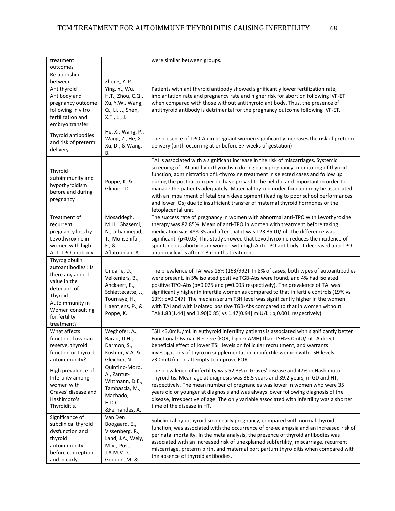| treatment<br>outcomes                                                                                                                                                    |                                                                                                                         | were similar between groups.                                                                                                                                                                                                                                                                                                                                                                                                                                                                                                                                                                                                           |
|--------------------------------------------------------------------------------------------------------------------------------------------------------------------------|-------------------------------------------------------------------------------------------------------------------------|----------------------------------------------------------------------------------------------------------------------------------------------------------------------------------------------------------------------------------------------------------------------------------------------------------------------------------------------------------------------------------------------------------------------------------------------------------------------------------------------------------------------------------------------------------------------------------------------------------------------------------------|
| Relationship<br>between<br>Antithyroid<br>Antibody and<br>pregnancy outcome<br>following in vitro<br>fertilization and<br>embryo transfer                                | Zhong, Y. P.,<br>Ying, Y., Wu,<br>H.T., Zhou, C.Q.,<br>Xu, Y.W., Wang,<br>Q., Li, J., Shen,<br>X.T., Li, J.             | Patients with antithyroid antibody showed significantly lower fertilization rate,<br>implantation rate and pregnancy rate and higher risk for abortion following IVF-ET<br>when compared with those without antithyroid antibody. Thus, the presence of<br>antithyroid antibody is detrimental for the pregnancy outcome following IVF-ET.                                                                                                                                                                                                                                                                                             |
| Thyroid antibodies<br>and risk of preterm<br>delivery                                                                                                                    | He, X., Wang, P.,<br>Wang, Z., He, X.,<br>Xu, D., & Wang,<br>В.                                                         | The presence of TPO-Ab in pregnant women significantly increases the risk of preterm<br>delivery (birth occurring at or before 37 weeks of gestation).                                                                                                                                                                                                                                                                                                                                                                                                                                                                                 |
| Thyroid<br>autoimmunity and<br>hypothyroidism<br>before and during<br>pregnancy                                                                                          | Poppe, K. &<br>Glinoer, D.                                                                                              | TAI is associated with a significant increase in the risk of miscarriages. Systemic<br>screening of TAI and hypothyroidism during early pregnancy, monitoring of thyroid<br>function, administration of L-thyroxine treatment in selected cases and follow up<br>during the postpartum period have proved to be helpful and important in order to<br>manage the patients adequately. Maternal thyroid under-function may be associated<br>with an impairment of fetal brain development (leading to poor school performances<br>and lower IQs) due to insufficient transfer of maternal thyroid hormones or the<br>fetoplacental unit. |
| Treatment of<br>recurrent<br>pregnancy loss by<br>Levothyroxine in<br>women with high<br>Anti-TPO antibody                                                               | Mosaddegh,<br>M.H., Ghasemi,<br>N., Juhaninejad,<br>T., Mohsenifar,<br>F., &<br>Aflatoonian, A.                         | The success rate of pregnancy in women with abnormal anti-TPO with Levothyroxine<br>therapy was 82.85%. Mean of anti-TPO in women with treatment before taking<br>medication was 488.35 and after that it was 123.35 UI/ml. The difference was<br>significant. (p<0.05) This study showed that Levothyroxine reduces the incidence of<br>spontaneous abortions in women with high Anti-TPO antibody. It decreased anti-TPO<br>antibody levels after 2-3 months treatment.                                                                                                                                                              |
| Thyroglobulin<br>autoantibodies : Is<br>there any added<br>value in the<br>detection of<br>Thyroid<br>Autoimmunity in<br>Women consulting<br>for fertility<br>treatment? | Unuane, D.,<br>Velkeniers, B.,<br>Anckaert, E.,<br>Schiettecatte, J.,<br>Tournaye, H.,<br>Haentjens, P., &<br>Poppe, K. | The prevalence of TAI was 16% (163/992). In 8% of cases, both types of autoantibodies<br>were present, in 5% isolated positive TGB-Abs were found, and 4% had isolated<br>positive TPO-Abs (p=0.025 and p=0.003 respectively). The prevalence of TAI was<br>significantly higher in infertile women as compared to that in fertile controls (19% vs<br>13%; p=0.047). The median serum TSH level was significantly higher in the women<br>with TAI and with isolated positive TGB-Abs compared to that in women without<br>TAI(1.83[1.44] and 1.90[0.85] vs 1.47[0.94] mIU/L; p,0.001 respectively).                                   |
| What affects<br>functional ovarian<br>reserve, thyroid<br>function or thyroid<br>autoimmunity?                                                                           | Weghofer, A.,<br>Barad, D.H.,<br>Darmon, S.,<br>Kushnir, V.A. &<br>Gleicher, N.                                         | TSH <3.0mIU/mL in euthyroid infertility patients is associated with significantly better<br>Functional Ovarian Reserve (FOR, higher AMH) than TSH>3.0mIU/mL. A direct<br>beneficial effect of lower TSH levels on follicular recruitment, and warrants<br>investigations of thyroxin supplementation in infertile women with TSH levels<br>>3.0mIU/mL in attempts to improve FOR.                                                                                                                                                                                                                                                      |
| High prevalence of<br>Infertility among<br>women with<br>Graves' disease and<br>Hashimoto's<br>Thyroiditis.                                                              | Quintino-Moro,<br>A., Zantut-<br>Wittmann, D.E.,<br>Tambascia, M.,<br>Machado,<br>H.D.C.<br>&Fernandes, A.              | The prevalence of infertility was 52.3% in Graves' disease and 47% in Hashimoto<br>Thyroiditis. Mean age at diagnosis was 36.5 years and 39.2 years, in GD and HT,<br>respectively. The mean number of pregnancies was lower in women who were 35<br>years old or younger at diagnosis and was always lower following diagnosis of the<br>disease, irrespective of age. The only variable associated with infertility was a shorter<br>time of the disease in HT.                                                                                                                                                                      |
| Significance of<br>subclinical thyroid<br>dysfunction and<br>thyroid<br>autoimmunity<br>before conception<br>and in early                                                | Van Den<br>Boogaard, E.,<br>Vissenberg, R.,<br>Land, J.A., Wely,<br>M.V., Post,<br>J.A.M.V.D.,<br>Goddijn, M. &         | Subclinical hypothyroidism in early pregnancy, compared with normal thyroid<br>function, was associated with the occurrence of pre-eclampsia and an increased risk of<br>perinatal mortality. In the meta analysis, the presence of thyroid antibodies was<br>associated with an increased risk of unexplained subfertility, miscarriage, recurrent<br>miscarriage, preterm birth, and maternal port partum thyroiditis when compared with<br>the absence of thyroid antibodies.                                                                                                                                                       |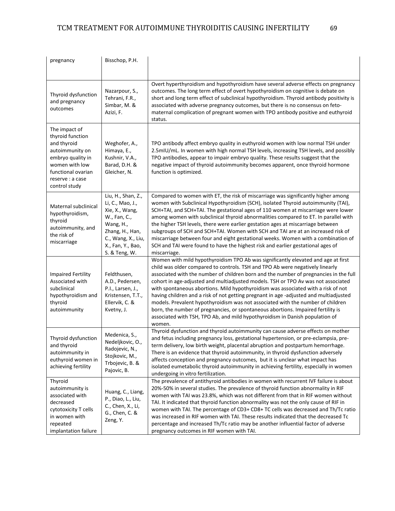| pregnancy                                                                                                                                                             | Bisschop, P.H.                                                                                                                                                       |                                                                                                                                                                                                                                                                                                                                                                                                                                                                                                                                                                                                                                                                                                                                                                                                 |
|-----------------------------------------------------------------------------------------------------------------------------------------------------------------------|----------------------------------------------------------------------------------------------------------------------------------------------------------------------|-------------------------------------------------------------------------------------------------------------------------------------------------------------------------------------------------------------------------------------------------------------------------------------------------------------------------------------------------------------------------------------------------------------------------------------------------------------------------------------------------------------------------------------------------------------------------------------------------------------------------------------------------------------------------------------------------------------------------------------------------------------------------------------------------|
| Thyroid dysfunction<br>and pregnancy<br>outcomes                                                                                                                      | Nazarpour, S.,<br>Tehrani, F.R.,<br>Simbar, M. &<br>Azizi, F.                                                                                                        | Overt hyperthyroidism and hypothyroidism have several adverse effects on pregnancy<br>outcomes. The long term effect of overt hypothyroidism on cognitive is debate on<br>short and long term effect of subclinical hypothyroidism. Thyroid antibody positivity is<br>associated with adverse pregnancy outcomes, but there is no consensus on feto-<br>maternal complication of pregnant women with TPO antibody positive and euthyroid<br>status.                                                                                                                                                                                                                                                                                                                                             |
| The impact of<br>thyroid function<br>and thyroid<br>autoimmunity on<br>embryo quality in<br>women with low<br>functional ovarian<br>reserve : a case<br>control study | Weghofer, A.,<br>Himaya, E.,<br>Kushnir, V.A.,<br>Barad, D.H. &<br>Gleicher, N.                                                                                      | TPO antibody affect embryo quality in euthyroid women with low normal TSH under<br>2.5mIU/mL. In women with high normal TSH levels, increasing TSH levels, and possibly<br>TPO antibodies, appear to impair embryo quality. These results suggest that the<br>negative impact of thyroid autoimmunity becomes apparent, once thyroid hormone<br>function is optimized.                                                                                                                                                                                                                                                                                                                                                                                                                          |
| Maternal subclinical<br>hypothyroidism,<br>thyroid<br>autoimmunity, and<br>the risk of<br>miscarriage                                                                 | Liu, H., Shan, Z.,<br>Li, C., Mao, J.,<br>Xie, X., Wang,<br>W., Fan, C.,<br>Wang, H.,<br>Zhang, H., Han,<br>C., Wang, X., Liu,<br>X., Fan, Y., Bao,<br>S. & Teng, W. | Compared to women with ET, the risk of miscarriage was significantly higher among<br>women with Subclinical Hypothyroidism (SCH), isolated Thyroid autoimmunity (TAI),<br>SCH+TAI, and SCH+TAI. The gestational ages of 110 women at miscarriage were lower<br>among women with subclinical thyroid abnormalities compared to ET. In parallel with<br>the higher TSH levels, there were earlier gestation ages at miscarriage between<br>subgroups of SCH and SCH+TAI. Women with SCH and TAI are at an increased risk of<br>miscarriage between four and eight gestational weeks. Women with a combination of<br>SCH and TAI were found to have the highest risk and earlier gestational ages of<br>miscarriage.                                                                               |
| <b>Impaired Fertility</b><br>Associated with<br>subclinical<br>hypothyroidism and<br>thyroid<br>autoimmunity                                                          | Feldthusen,<br>A.D., Pedersen,<br>P.I., Larsen, J.,<br>Kristensen, T.T.,<br>Ellervik, C. &<br>Kvetny, J.                                                             | Women with mild hypothyroidism TPO Ab was significantly elevated and age at first<br>child was older compared to controls. TSH and TPO Ab were negatively linearly<br>associated with the number of children born and the number of pregnancies in the full<br>cohort in age-adjusted and multiadjusted models. TSH or TPO Av was not associated<br>with spontaneous abortions. Mild hypothyroidism was associated with a risk of not<br>having children and a risk of not getting pregnant in age -adjusted and multiadjusted<br>models. Prevalent hypothyroidism was not associated with the number of children<br>born, the number of pregnancies, or spontaneous abortions. Impaired fertility is<br>associated with TSH, TPO Ab, and mild hypothyroidism in Danish population of<br>women. |
| Thyroid dysfunction<br>and thyroid<br>autoimmunity in<br>euthyroid women in<br>achieving fertility                                                                    | Medenica, S.,<br>Nedeljkovic, O.<br>Radojevic, N.,<br>Stojkovic, M.,<br>Trbojevic, B. &<br>Pajovic, B.                                                               | Thyroid dysfunction and thyroid autoimmunity can cause adverse effects on mother<br>and fetus including pregnancy loss, gestational hypertension, or pre-eclampsia, pre-<br>term delivery, low birth weight, placental abruption and postpartum hemorrhage.<br>There is an evidence that thyroid autoimmunity, in thyroid dysfunction adversely<br>affects conception and pregnancy outcomes, but it is unclear what impact has<br>isolated eumetabolic thyroid autoimmunity in achieving fertility, especially in women<br>undergoing in vitro fertilization.                                                                                                                                                                                                                                  |
| Thyroid<br>autoimmunity is<br>associated with<br>decreased<br>cytotoxicity T cells<br>in women with<br>repeated<br>implantation failure                               | Huang, C., Liang,<br>P., Diao, L., Liu,<br>C., Chen, X., Li,<br>G., Chen, C. &<br>Zeng, Y.                                                                           | The prevalence of antithyroid antibodies in women with recurrent IVF failure is about<br>20%-50% in several studies. The prevalence of thyroid function abnormality in RIF<br>women with TAI was 23.8%, which was not different from that in RIF women without<br>TAI. It indicated that thyroid function abnormality was not the only cause of RIF in<br>women with TAI. The percentage of CD3+ CD8+ TC cells was decreased and Th/Tc ratio<br>was increased in RIF women with TAI. These results indicated that the decreased Tc<br>percentage and increased Th/Tc ratio may be another influential factor of adverse<br>pregnancy outcomes in RIF women with TAI.                                                                                                                            |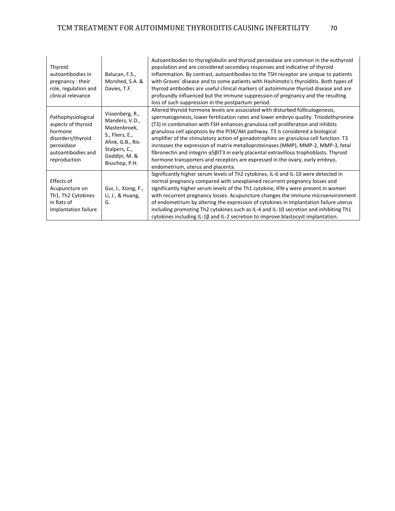| Thyroid<br>autoantibodies in<br>pregnancy: their<br>role, regulation and<br>clinical relevance                               | Balucan, F.S.,<br>Morshed, S.A. &<br>Davies, T.F.                                                                                             | Autoantibodies to thyroglobulin and thyroid peroxidase are common in the euthyroid<br>population and are considered secondary responses and indicative of thyroid<br>inflammation. By contrast, autoantibodies to the TSH receptor are unique to patients<br>with Graves' disease and to some patients with Hashimoto's thyroiditis. Both types of<br>thyroid antibodies are useful clinical markers of autoimmune thyroid disease and are<br>profoundly influenced but the immune suppression of pregnancy and the resulting<br>loss of such suppression in the postpartum period.                                                                                                                                                     |
|------------------------------------------------------------------------------------------------------------------------------|-----------------------------------------------------------------------------------------------------------------------------------------------|-----------------------------------------------------------------------------------------------------------------------------------------------------------------------------------------------------------------------------------------------------------------------------------------------------------------------------------------------------------------------------------------------------------------------------------------------------------------------------------------------------------------------------------------------------------------------------------------------------------------------------------------------------------------------------------------------------------------------------------------|
| Pathophysiological<br>aspects of thyroid<br>hormone<br>disorders/thyroid<br>peroxidase<br>autoantibodies and<br>reproduction | Vissenberg, R.,<br>Manders, V.D.,<br>Mastenbroek,<br>S., Fliers, E.,<br>Afink, G.B., Ris-<br>Stalpers, C.,<br>Goddijn, M. &<br>Bisschop, P.H. | Altered thyroid hormone levels are associated with disturbed folliculogenesis,<br>spermatogenesis, lower fertilization rates and lower embryo quality. Triiodothyronine<br>(T3) in combination with FSH enhances granulosa cell proliferation and inhibits<br>granulosa cell apoptosis by the PI3K/Akt pathway. T3 is considered a biological<br>amplifier of the stimulatory action of gonadotrophins on granulosa cell function. T3<br>increases the expression of matrix metalloproteinases (MMP), MMP-2, MMP-3, fetal<br>fibronectin and integrin α5βIT3 in early placental extravillous trophoblasts. Thyroid<br>hormone transporters and receptors are expressed in the ovary, early embryo,<br>endometrium, uterus and placenta. |
| Effects of<br>Acupuncture on<br>Th1, Th2 Cytokines<br>in Rats of<br>Implantation failure                                     | Gui, J., Xiong, F.,<br>Li, J., & Huang,<br>G.                                                                                                 | Significantly higher serum levels of Th2 cytokines, IL-6 and IL-10 were detected in<br>normal pregnancy compared with unexplained recurrent pregnancy losses and<br>significantly higher serum levels of the Th1 cytokine, IFN-y were present in women<br>with recurrent pregnancy losses. Acupuncture changes the immune microenvironment<br>of endometrium by altering the expression of cytokines in implantation failure uterus<br>including promoting Th2 cytokines such as IL-4 and IL-10 secretion and inhibiting Th1<br>cytokines including IL-1β and IL-2 secretion to improve blastocyst implantation.                                                                                                                        |